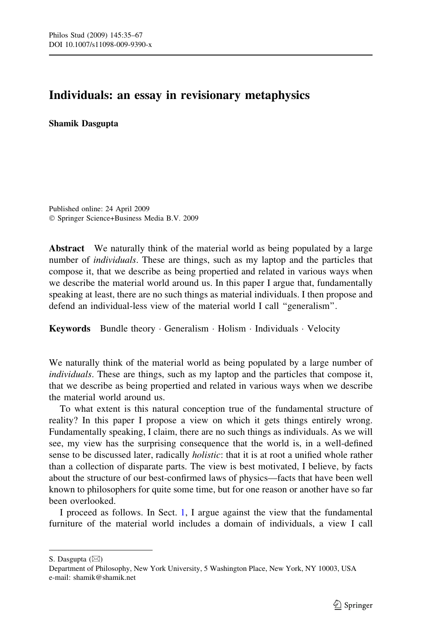# Individuals: an essay in revisionary metaphysics

Shamik Dasgupta

Published online: 24 April 2009 Springer Science+Business Media B.V. 2009

Abstract We naturally think of the material world as being populated by a large number of *individuals*. These are things, such as my laptop and the particles that compose it, that we describe as being propertied and related in various ways when we describe the material world around us. In this paper I argue that, fundamentally speaking at least, there are no such things as material individuals. I then propose and defend an individual-less view of the material world I call ''generalism''.

Keywords Bundle theory  $\cdot$  Generalism  $\cdot$  Holism  $\cdot$  Individuals  $\cdot$  Velocity

We naturally think of the material world as being populated by a large number of individuals. These are things, such as my laptop and the particles that compose it, that we describe as being propertied and related in various ways when we describe the material world around us.

To what extent is this natural conception true of the fundamental structure of reality? In this paper I propose a view on which it gets things entirely wrong. Fundamentally speaking, I claim, there are no such things as individuals. As we will see, my view has the surprising consequence that the world is, in a well-defined sense to be discussed later, radically *holistic*: that it is at root a unified whole rather than a collection of disparate parts. The view is best motivated, I believe, by facts about the structure of our best-confirmed laws of physics—facts that have been well known to philosophers for quite some time, but for one reason or another have so far been overlooked.

I proceed as follows. In Sect. [1](#page-2-0), I argue against the view that the fundamental furniture of the material world includes a domain of individuals, a view I call

S. Dasgupta  $(\boxtimes)$ 

Department of Philosophy, New York University, 5 Washington Place, New York, NY 10003, USA e-mail: shamik@shamik.net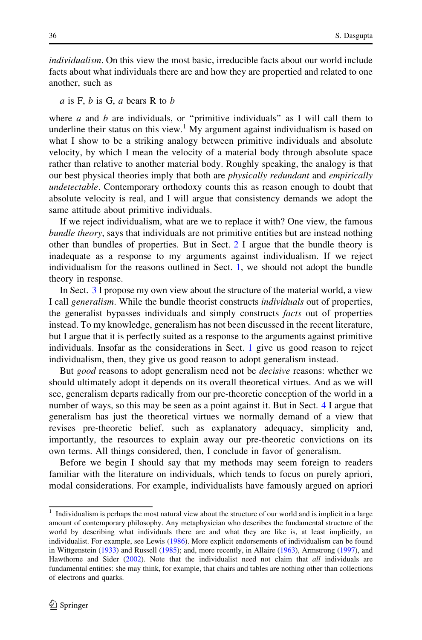individualism. On this view the most basic, irreducible facts about our world include facts about what individuals there are and how they are propertied and related to one another, such as

 $a$  is F,  $b$  is G,  $a$  bears R to  $b$ 

where a and b are individuals, or "primitive individuals" as I will call them to underline their status on this view.<sup>1</sup> My argument against individualism is based on what I show to be a striking analogy between primitive individuals and absolute velocity, by which I mean the velocity of a material body through absolute space rather than relative to another material body. Roughly speaking, the analogy is that our best physical theories imply that both are *physically redundant* and *empirically* undetectable. Contemporary orthodoxy counts this as reason enough to doubt that absolute velocity is real, and I will argue that consistency demands we adopt the same attitude about primitive individuals.

If we reject individualism, what are we to replace it with? One view, the famous bundle theory, says that individuals are not primitive entities but are instead nothing other than bundles of properties. But in Sect. [2](#page-12-0) I argue that the bundle theory is inadequate as a response to my arguments against individualism. If we reject individualism for the reasons outlined in Sect. [1,](#page-2-0) we should not adopt the bundle theory in response.

In Sect. [3](#page-14-0) I propose my own view about the structure of the material world, a view I call generalism. While the bundle theorist constructs individuals out of properties, the generalist bypasses individuals and simply constructs *facts* out of properties instead. To my knowledge, generalism has not been discussed in the recent literature, but I argue that it is perfectly suited as a response to the arguments against primitive individuals. Insofar as the considerations in Sect. [1](#page-2-0) give us good reason to reject individualism, then, they give us good reason to adopt generalism instead.

But *good* reasons to adopt generalism need not be *decisive* reasons: whether we should ultimately adopt it depends on its overall theoretical virtues. And as we will see, generalism departs radically from our pre-theoretic conception of the world in a number of ways, so this may be seen as a point against it. But in Sect. [4](#page-21-0) I argue that generalism has just the theoretical virtues we normally demand of a view that revises pre-theoretic belief, such as explanatory adequacy, simplicity and, importantly, the resources to explain away our pre-theoretic convictions on its own terms. All things considered, then, I conclude in favor of generalism.

Before we begin I should say that my methods may seem foreign to readers familiar with the literature on individuals, which tends to focus on purely apriori, modal considerations. For example, individualists have famously argued on apriori

 $1$  Individualism is perhaps the most natural view about the structure of our world and is implicit in a large amount of contemporary philosophy. Any metaphysician who describes the fundamental structure of the world by describing what individuals there are and what they are like is, at least implicitly, an individualist. For example, see Lewis ([1986\)](#page-32-0). More explicit endorsements of individualism can be found in Wittgenstein [\(1933](#page-32-0)) and Russell [\(1985](#page-32-0)); and, more recently, in Allaire ([1963\)](#page-31-0), Armstrong ([1997\)](#page-31-0), and Hawthorne and Sider [\(2002](#page-31-0)). Note that the individualist need not claim that all individuals are fundamental entities: she may think, for example, that chairs and tables are nothing other than collections of electrons and quarks.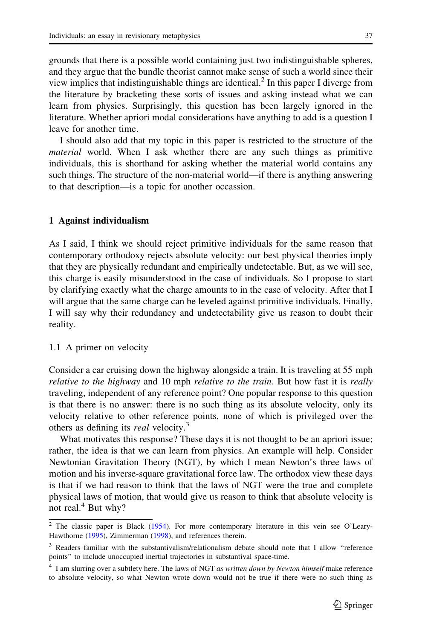<span id="page-2-0"></span>grounds that there is a possible world containing just two indistinguishable spheres, and they argue that the bundle theorist cannot make sense of such a world since their view implies that indistinguishable things are identical.<sup>2</sup> In this paper I diverge from the literature by bracketing these sorts of issues and asking instead what we can learn from physics. Surprisingly, this question has been largely ignored in the literature. Whether apriori modal considerations have anything to add is a question I leave for another time.

I should also add that my topic in this paper is restricted to the structure of the material world. When I ask whether there are any such things as primitive individuals, this is shorthand for asking whether the material world contains any such things. The structure of the non-material world—if there is anything answering to that description—is a topic for another occassion.

#### 1 Against individualism

As I said, I think we should reject primitive individuals for the same reason that contemporary orthodoxy rejects absolute velocity: our best physical theories imply that they are physically redundant and empirically undetectable. But, as we will see, this charge is easily misunderstood in the case of individuals. So I propose to start by clarifying exactly what the charge amounts to in the case of velocity. After that I will argue that the same charge can be leveled against primitive individuals. Finally, I will say why their redundancy and undetectability give us reason to doubt their reality.

# 1.1 A primer on velocity

Consider a car cruising down the highway alongside a train. It is traveling at 55 mph relative to the highway and 10 mph relative to the train. But how fast it is really traveling, independent of any reference point? One popular response to this question is that there is no answer: there is no such thing as its absolute velocity, only its velocity relative to other reference points, none of which is privileged over the others as defining its *real* velocity.<sup>3</sup>

What motivates this response? These days it is not thought to be an apriori issue; rather, the idea is that we can learn from physics. An example will help. Consider Newtonian Gravitation Theory (NGT), by which I mean Newton's three laws of motion and his inverse-square gravitational force law. The orthodox view these days is that if we had reason to think that the laws of NGT were the true and complete physical laws of motion, that would give us reason to think that absolute velocity is not real. $4$  But why?

<sup>&</sup>lt;sup>2</sup> The classic paper is Black [\(1954](#page-31-0)). For more contemporary literature in this vein see O'Leary-Hawthorne ([1995\)](#page-32-0), Zimmerman ([1998\)](#page-32-0), and references therein.

<sup>&</sup>lt;sup>3</sup> Readers familiar with the substantivalism/relationalism debate should note that I allow "reference points'' to include unoccupied inertial trajectories in substantival space-time.

 $4$  I am slurring over a subtlety here. The laws of NGT as written down by Newton himself make reference to absolute velocity, so what Newton wrote down would not be true if there were no such thing as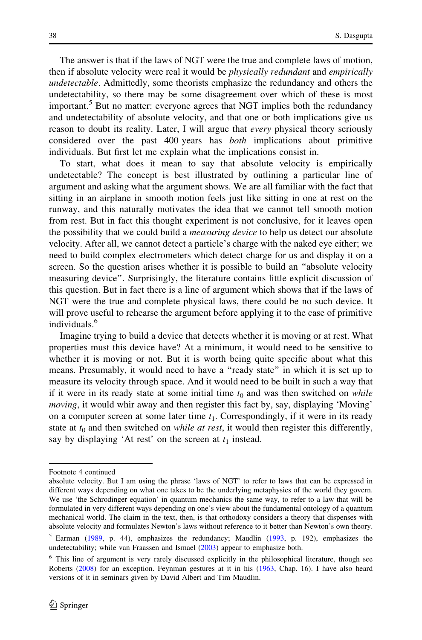The answer is that if the laws of NGT were the true and complete laws of motion, then if absolute velocity were real it would be *physically redundant* and *empirically* undetectable. Admittedly, some theorists emphasize the redundancy and others the undetectability, so there may be some disagreement over which of these is most important.<sup>5</sup> But no matter: everyone agrees that NGT implies both the redundancy and undetectability of absolute velocity, and that one or both implications give us reason to doubt its reality. Later, I will argue that *every* physical theory seriously considered over the past 400 years has both implications about primitive individuals. But first let me explain what the implications consist in.

To start, what does it mean to say that absolute velocity is empirically undetectable? The concept is best illustrated by outlining a particular line of argument and asking what the argument shows. We are all familiar with the fact that sitting in an airplane in smooth motion feels just like sitting in one at rest on the runway, and this naturally motivates the idea that we cannot tell smooth motion from rest. But in fact this thought experiment is not conclusive, for it leaves open the possibility that we could build a *measuring device* to help us detect our absolute velocity. After all, we cannot detect a particle's charge with the naked eye either; we need to build complex electrometers which detect charge for us and display it on a screen. So the question arises whether it is possible to build an ''absolute velocity measuring device''. Surprisingly, the literature contains little explicit discussion of this question. But in fact there is a line of argument which shows that if the laws of NGT were the true and complete physical laws, there could be no such device. It will prove useful to rehearse the argument before applying it to the case of primitive individuals.<sup>6</sup>

Imagine trying to build a device that detects whether it is moving or at rest. What properties must this device have? At a minimum, it would need to be sensitive to whether it is moving or not. But it is worth being quite specific about what this means. Presumably, it would need to have a ''ready state'' in which it is set up to measure its velocity through space. And it would need to be built in such a way that if it were in its ready state at some initial time  $t_0$  and was then switched on while moving, it would whir away and then register this fact by, say, displaying 'Moving' on a computer screen at some later time  $t_1$ . Correspondingly, if it were in its ready state at  $t_0$  and then switched on *while at rest*, it would then register this differently, say by displaying 'At rest' on the screen at  $t_1$  instead.

Footnote 4 continued

absolute velocity. But I am using the phrase 'laws of NGT' to refer to laws that can be expressed in different ways depending on what one takes to be the underlying metaphysics of the world they govern. We use 'the Schrodinger equation' in quantum mechanics the same way, to refer to a law that will be formulated in very different ways depending on one's view about the fundamental ontology of a quantum mechanical world. The claim in the text, then, is that orthodoxy considers a theory that dispenses with absolute velocity and formulates Newton's laws without reference to it better than Newton's own theory.

 $5$  Earman ([1989,](#page-31-0) p. 44), emphasizes the redundancy; Maudlin [\(1993,](#page-32-0) p. 192), emphasizes the undetectability; while van Fraassen and Ismael [\(2003](#page-32-0)) appear to emphasize both.

<sup>6</sup> This line of argument is very rarely discussed explicitly in the philosophical literature, though see Roberts ([2008\)](#page-32-0) for an exception. Feynman gestures at it in his ([1963,](#page-31-0) Chap. 16). I have also heard versions of it in seminars given by David Albert and Tim Maudlin.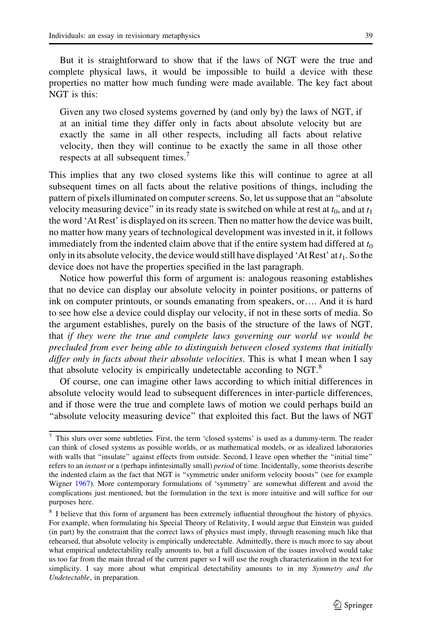But it is straightforward to show that if the laws of NGT were the true and complete physical laws, it would be impossible to build a device with these properties no matter how much funding were made available. The key fact about NGT is this:

Given any two closed systems governed by (and only by) the laws of NGT, if at an initial time they differ only in facts about absolute velocity but are exactly the same in all other respects, including all facts about relative velocity, then they will continue to be exactly the same in all those other respects at all subsequent times.<sup>7</sup>

This implies that any two closed systems like this will continue to agree at all subsequent times on all facts about the relative positions of things, including the pattern of pixels illuminated on computer screens. So, let us suppose that an ''absolute velocity measuring device" in its ready state is switched on while at rest at  $t_0$ , and at  $t_1$ the word 'At Rest' is displayed on its screen. Then no matter how the device was built, no matter how many years of technological development was invested in it, it follows immediately from the indented claim above that if the entire system had differed at  $t_0$ only in its absolute velocity, the device would still have displayed 'At Rest' at  $t_1$ . So the device does not have the properties specified in the last paragraph.

Notice how powerful this form of argument is: analogous reasoning establishes that no device can display our absolute velocity in pointer positions, or patterns of ink on computer printouts, or sounds emanating from speakers, or…. And it is hard to see how else a device could display our velocity, if not in these sorts of media. So the argument establishes, purely on the basis of the structure of the laws of NGT, that if they were the true and complete laws governing our world we would be precluded from ever being able to distinguish between closed systems that initially differ only in facts about their absolute velocities. This is what I mean when I say that absolute velocity is empirically undetectable according to NGT. $8$ 

Of course, one can imagine other laws according to which initial differences in absolute velocity would lead to subsequent differences in inter-particle differences, and if those were the true and complete laws of motion we could perhaps build an ''absolute velocity measuring device'' that exploited this fact. But the laws of NGT

<sup>7</sup> This slurs over some subtleties. First, the term 'closed systems' is used as a dummy-term. The reader can think of closed systems as possible worlds, or as mathematical models, or as idealized laboratories with walls that "insulate" against effects from outside. Second, I leave open whether the "initial time" refers to an *instant* or a (perhaps infintesimally small) *period* of time. Incidentally, some theorists describe the indented claim as the fact that NGT is ''symmetric under uniform velocity boosts'' (see for example Wigner [1967](#page-32-0)). More contemporary formulations of 'symmetry' are somewhat different and avoid the complications just mentioned, but the formulation in the text is more intuitive and will suffice for our purposes here.

<sup>&</sup>lt;sup>8</sup> I believe that this form of argument has been extremely influential throughout the history of physics. For example, when formulating his Special Theory of Relativity, I would argue that Einstein was guided (in part) by the constraint that the correct laws of physics must imply, through reasoning much like that rehearsed, that absolute velocity is empirically undetectable. Admittedly, there is much more to say about what empirical undetectability really amounts to, but a full discussion of the issues involved would take us too far from the main thread of the current paper so I will use the rough characterization in the text for simplicity. I say more about what empirical detectability amounts to in my Symmetry and the Undetectable, in preparation.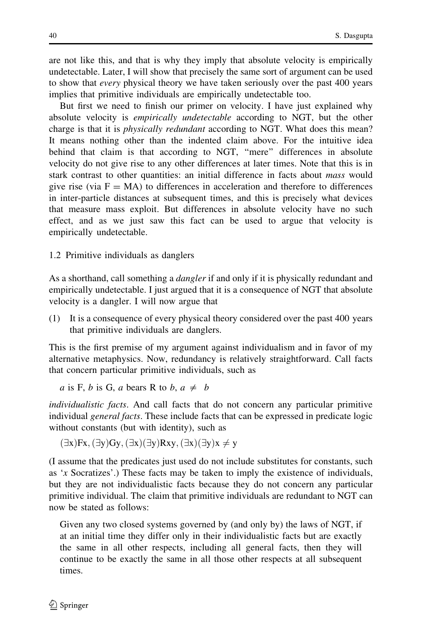are not like this, and that is why they imply that absolute velocity is empirically undetectable. Later, I will show that precisely the same sort of argument can be used to show that every physical theory we have taken seriously over the past 400 years implies that primitive individuals are empirically undetectable too.

But first we need to finish our primer on velocity. I have just explained why absolute velocity is empirically undetectable according to NGT, but the other charge is that it is *physically redundant* according to NGT. What does this mean? It means nothing other than the indented claim above. For the intuitive idea behind that claim is that according to NGT, ''mere'' differences in absolute velocity do not give rise to any other differences at later times. Note that this is in stark contrast to other quantities: an initial difference in facts about *mass* would give rise (via  $F = MA$ ) to differences in acceleration and therefore to differences in inter-particle distances at subsequent times, and this is precisely what devices that measure mass exploit. But differences in absolute velocity have no such effect, and as we just saw this fact can be used to argue that velocity is empirically undetectable.

1.2 Primitive individuals as danglers

As a shorthand, call something a *dangler* if and only if it is physically redundant and empirically undetectable. I just argued that it is a consequence of NGT that absolute velocity is a dangler. I will now argue that

(1) It is a consequence of every physical theory considered over the past 400 years that primitive individuals are danglers.

This is the first premise of my argument against individualism and in favor of my alternative metaphysics. Now, redundancy is relatively straightforward. Call facts that concern particular primitive individuals, such as

a is F, b is G, a bears R to b,  $a \neq b$ 

individualistic facts. And call facts that do not concern any particular primitive individual *general facts*. These include facts that can be expressed in predicate logic without constants (but with identity), such as

 $(\exists x)Fx, (\exists y)Gy, (\exists x)(\exists y)Rxy, (\exists x)(\exists y)x \neq y$ 

(I assume that the predicates just used do not include substitutes for constants, such as 'x Socratizes'.) These facts may be taken to imply the existence of individuals, but they are not individualistic facts because they do not concern any particular primitive individual. The claim that primitive individuals are redundant to NGT can now be stated as follows:

Given any two closed systems governed by (and only by) the laws of NGT, if at an initial time they differ only in their individualistic facts but are exactly the same in all other respects, including all general facts, then they will continue to be exactly the same in all those other respects at all subsequent times.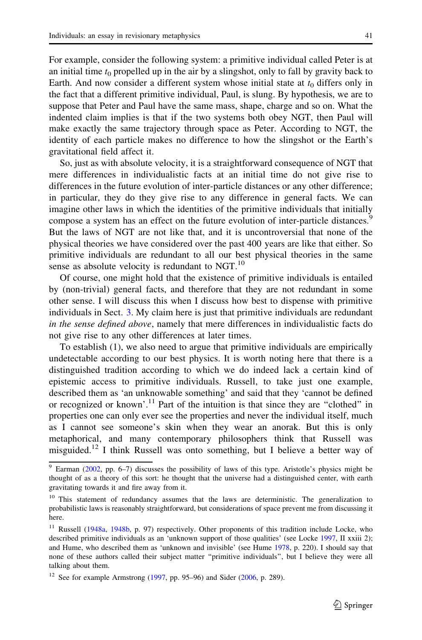For example, consider the following system: a primitive individual called Peter is at an initial time  $t_0$  propelled up in the air by a slingshot, only to fall by gravity back to Earth. And now consider a different system whose initial state at  $t_0$  differs only in the fact that a different primitive individual, Paul, is slung. By hypothesis, we are to suppose that Peter and Paul have the same mass, shape, charge and so on. What the indented claim implies is that if the two systems both obey NGT, then Paul will make exactly the same trajectory through space as Peter. According to NGT, the identity of each particle makes no difference to how the slingshot or the Earth's gravitational field affect it.

So, just as with absolute velocity, it is a straightforward consequence of NGT that mere differences in individualistic facts at an initial time do not give rise to differences in the future evolution of inter-particle distances or any other difference; in particular, they do they give rise to any difference in general facts. We can imagine other laws in which the identities of the primitive individuals that initially compose a system has an effect on the future evolution of inter-particle distances.<sup>9</sup> But the laws of NGT are not like that, and it is uncontroversial that none of the physical theories we have considered over the past 400 years are like that either. So primitive individuals are redundant to all our best physical theories in the same sense as absolute velocity is redundant to NGT. $^{10}$ 

Of course, one might hold that the existence of primitive individuals is entailed by (non-trivial) general facts, and therefore that they are not redundant in some other sense. I will discuss this when I discuss how best to dispense with primitive individuals in Sect. [3.](#page-14-0) My claim here is just that primitive individuals are redundant in the sense defined above, namely that mere differences in individualistic facts do not give rise to any other differences at later times.

To establish (1), we also need to argue that primitive individuals are empirically undetectable according to our best physics. It is worth noting here that there is a distinguished tradition according to which we do indeed lack a certain kind of epistemic access to primitive individuals. Russell, to take just one example, described them as 'an unknowable something' and said that they 'cannot be defined or recognized or known'.<sup>11</sup> Part of the intuition is that since they are "clothed" in properties one can only ever see the properties and never the individual itself, much as I cannot see someone's skin when they wear an anorak. But this is only metaphorical, and many contemporary philosophers think that Russell was misguided.12 I think Russell was onto something, but I believe a better way of

 $9$  Earman ([2002,](#page-31-0) pp. 6–7) discusses the possibility of laws of this type. Aristotle's physics might be thought of as a theory of this sort: he thought that the universe had a distinguished center, with earth gravitating towards it and fire away from it.

<sup>&</sup>lt;sup>10</sup> This statement of redundancy assumes that the laws are deterministic. The generalization to probabilistic laws is reasonably straightforward, but considerations of space prevent me from discussing it here.

<sup>&</sup>lt;sup>11</sup> Russell [\(1948a,](#page-32-0) [1948b,](#page-32-0) p. 97) respectively. Other proponents of this tradition include Locke, who described primitive individuals as an 'unknown support of those qualities' (see Locke [1997,](#page-32-0) II xxiii 2); and Hume, who described them as 'unknown and invisible' (see Hume [1978,](#page-31-0) p. 220). I should say that none of these authors called their subject matter ''primitive individuals'', but I believe they were all talking about them.

<sup>&</sup>lt;sup>12</sup> See for example Armstrong ([1997](#page-31-0), pp. 95–96) and Sider [\(2006,](#page-32-0) p. 289).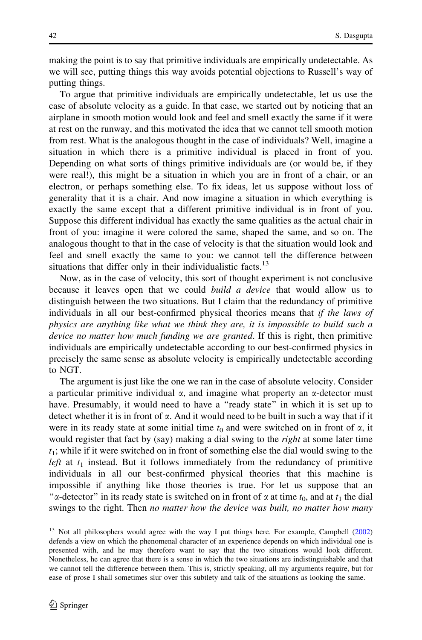making the point is to say that primitive individuals are empirically undetectable. As we will see, putting things this way avoids potential objections to Russell's way of putting things.

To argue that primitive individuals are empirically undetectable, let us use the case of absolute velocity as a guide. In that case, we started out by noticing that an airplane in smooth motion would look and feel and smell exactly the same if it were at rest on the runway, and this motivated the idea that we cannot tell smooth motion from rest. What is the analogous thought in the case of individuals? Well, imagine a situation in which there is a primitive individual is placed in front of you. Depending on what sorts of things primitive individuals are (or would be, if they were real!), this might be a situation in which you are in front of a chair, or an electron, or perhaps something else. To fix ideas, let us suppose without loss of generality that it is a chair. And now imagine a situation in which everything is exactly the same except that a different primitive individual is in front of you. Suppose this different individual has exactly the same qualities as the actual chair in front of you: imagine it were colored the same, shaped the same, and so on. The analogous thought to that in the case of velocity is that the situation would look and feel and smell exactly the same to you: we cannot tell the difference between situations that differ only in their individualistic facts.<sup>13</sup>

Now, as in the case of velocity, this sort of thought experiment is not conclusive because it leaves open that we could *build a device* that would allow us to distinguish between the two situations. But I claim that the redundancy of primitive individuals in all our best-confirmed physical theories means that if the laws of physics are anything like what we think they are, it is impossible to build such a device no matter how much funding we are granted. If this is right, then primitive individuals are empirically undetectable according to our best-confirmed physics in precisely the same sense as absolute velocity is empirically undetectable according to NGT.

The argument is just like the one we ran in the case of absolute velocity. Consider a particular primitive individual  $\alpha$ , and imagine what property an  $\alpha$ -detector must have. Presumably, it would need to have a "ready state" in which it is set up to detect whether it is in front of  $\alpha$ . And it would need to be built in such a way that if it were in its ready state at some initial time  $t_0$  and were switched on in front of  $\alpha$ , it would register that fact by (say) making a dial swing to the *right* at some later time  $t_1$ ; while if it were switched on in front of something else the dial would swing to the *left* at  $t_1$  instead. But it follows immediately from the redundancy of primitive individuals in all our best-confirmed physical theories that this machine is impossible if anything like those theories is true. For let us suppose that an " $\alpha$ -detector" in its ready state is switched on in front of  $\alpha$  at time  $t_0$ , and at  $t_1$  the dial swings to the right. Then no matter how the device was built, no matter how many

<sup>&</sup>lt;sup>13</sup> Not all philosophers would agree with the way I put things here. For example, Campbell ([2002\)](#page-31-0) defends a view on which the phenomenal character of an experience depends on which individual one is presented with, and he may therefore want to say that the two situations would look different. Nonetheless, he can agree that there is a sense in which the two situations are indistinguishable and that we cannot tell the difference between them. This is, strictly speaking, all my arguments require, but for ease of prose I shall sometimes slur over this subtlety and talk of the situations as looking the same.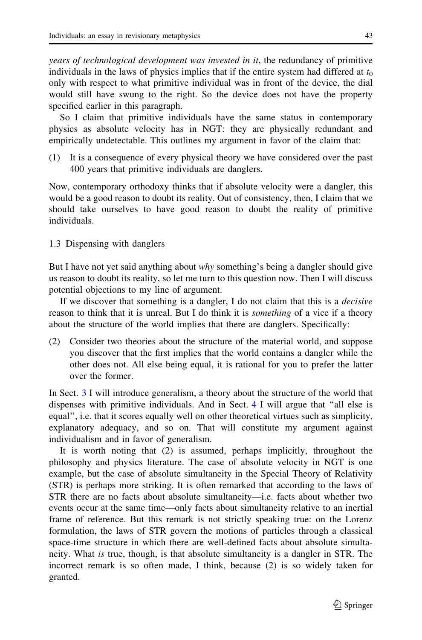years of technological development was invested in it, the redundancy of primitive individuals in the laws of physics implies that if the entire system had differed at  $t_0$ only with respect to what primitive individual was in front of the device, the dial would still have swung to the right. So the device does not have the property specified earlier in this paragraph.

So I claim that primitive individuals have the same status in contemporary physics as absolute velocity has in NGT: they are physically redundant and empirically undetectable. This outlines my argument in favor of the claim that:

(1) It is a consequence of every physical theory we have considered over the past 400 years that primitive individuals are danglers.

Now, contemporary orthodoxy thinks that if absolute velocity were a dangler, this would be a good reason to doubt its reality. Out of consistency, then, I claim that we should take ourselves to have good reason to doubt the reality of primitive individuals.

# 1.3 Dispensing with danglers

But I have not yet said anything about why something's being a dangler should give us reason to doubt its reality, so let me turn to this question now. Then I will discuss potential objections to my line of argument.

If we discover that something is a dangler, I do not claim that this is a decisive reason to think that it is unreal. But I do think it is *something* of a vice if a theory about the structure of the world implies that there are danglers. Specifically:

(2) Consider two theories about the structure of the material world, and suppose you discover that the first implies that the world contains a dangler while the other does not. All else being equal, it is rational for you to prefer the latter over the former.

In Sect. [3](#page-14-0) I will introduce generalism, a theory about the structure of the world that dispenses with primitive individuals. And in Sect. [4](#page-21-0) I will argue that ''all else is equal'', i.e. that it scores equally well on other theoretical virtues such as simplicity, explanatory adequacy, and so on. That will constitute my argument against individualism and in favor of generalism.

It is worth noting that (2) is assumed, perhaps implicitly, throughout the philosophy and physics literature. The case of absolute velocity in NGT is one example, but the case of absolute simultaneity in the Special Theory of Relativity (STR) is perhaps more striking. It is often remarked that according to the laws of STR there are no facts about absolute simultaneity—i.e. facts about whether two events occur at the same time—only facts about simultaneity relative to an inertial frame of reference. But this remark is not strictly speaking true: on the Lorenz formulation, the laws of STR govern the motions of particles through a classical space-time structure in which there are well-defined facts about absolute simultaneity. What is true, though, is that absolute simultaneity is a dangler in STR. The incorrect remark is so often made, I think, because (2) is so widely taken for granted.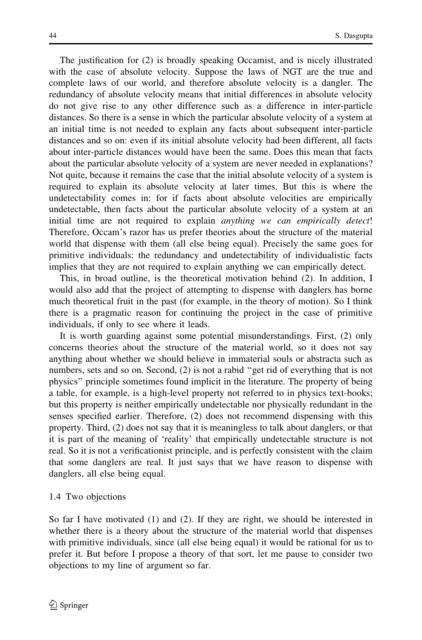The justification for (2) is broadly speaking Occamist, and is nicely illustrated with the case of absolute velocity. Suppose the laws of NGT are the true and complete laws of our world, and therefore absolute velocity is a dangler. The redundancy of absolute velocity means that initial differences in absolute velocity do not give rise to any other difference such as a difference in inter-particle distances. So there is a sense in which the particular absolute velocity of a system at an initial time is not needed to explain any facts about subsequent inter-particle distances and so on: even if its initial absolute velocity had been different, all facts about inter-particle distances would have been the same. Does this mean that facts about the particular absolute velocity of a system are never needed in explanations? Not quite, because it remains the case that the initial absolute velocity of a system is required to explain its absolute velocity at later times. But this is where the undetectability comes in: for if facts about absolute velocities are empirically undetectable, then facts about the particular absolute velocity of a system at an initial time are not required to explain anything we can empirically detect! Therefore, Occam's razor has us prefer theories about the structure of the material world that dispense with them (all else being equal). Precisely the same goes for primitive individuals: the redundancy and undetectability of individualistic facts implies that they are not required to explain anything we can empirically detect.

This, in broad outline, is the theoretical motivation behind (2). In addition, I would also add that the project of attempting to dispense with danglers has borne much theoretical fruit in the past (for example, in the theory of motion). So I think there is a pragmatic reason for continuing the project in the case of primitive individuals, if only to see where it leads.

It is worth guarding against some potential misunderstandings. First, (2) only concerns theories about the structure of the material world, so it does not say anything about whether we should believe in immaterial souls or abstracta such as numbers, sets and so on. Second, (2) is not a rabid ''get rid of everything that is not physics'' principle sometimes found implicit in the literature. The property of being a table, for example, is a high-level property not referred to in physics text-books; but this property is neither empirically undetectable nor physically redundant in the senses specified earlier. Therefore, (2) does not recommend dispensing with this property. Third, (2) does not say that it is meaningless to talk about danglers, or that it is part of the meaning of 'reality' that empirically undetectable structure is not real. So it is not a verificationist principle, and is perfectly consistent with the claim that some danglers are real. It just says that we have reason to dispense with danglers, all else being equal.

### 1.4 Two objections

So far I have motivated (1) and (2). If they are right, we should be interested in whether there is a theory about the structure of the material world that dispenses with primitive individuals, since (all else being equal) it would be rational for us to prefer it. But before I propose a theory of that sort, let me pause to consider two objections to my line of argument so far.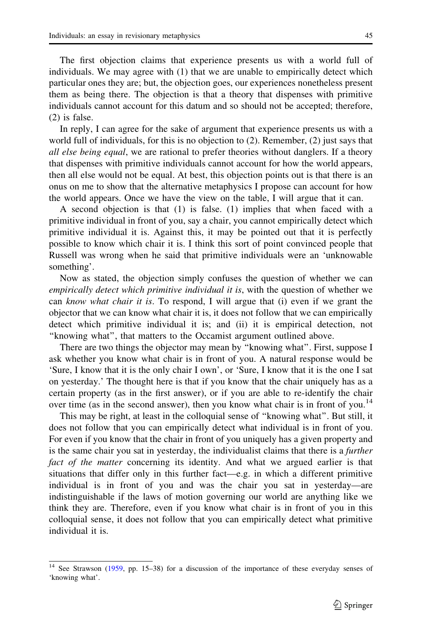The first objection claims that experience presents us with a world full of individuals. We may agree with (1) that we are unable to empirically detect which particular ones they are; but, the objection goes, our experiences nonetheless present them as being there. The objection is that a theory that dispenses with primitive individuals cannot account for this datum and so should not be accepted; therefore, (2) is false.

In reply, I can agree for the sake of argument that experience presents us with a world full of individuals, for this is no objection to (2). Remember, (2) just says that all else being equal, we are rational to prefer theories without danglers. If a theory that dispenses with primitive individuals cannot account for how the world appears, then all else would not be equal. At best, this objection points out is that there is an onus on me to show that the alternative metaphysics I propose can account for how the world appears. Once we have the view on the table, I will argue that it can.

A second objection is that (1) is false. (1) implies that when faced with a primitive individual in front of you, say a chair, you cannot empirically detect which primitive individual it is. Against this, it may be pointed out that it is perfectly possible to know which chair it is. I think this sort of point convinced people that Russell was wrong when he said that primitive individuals were an 'unknowable something'.

Now as stated, the objection simply confuses the question of whether we can empirically detect which primitive individual it is, with the question of whether we can know what chair it is. To respond, I will argue that (i) even if we grant the objector that we can know what chair it is, it does not follow that we can empirically detect which primitive individual it is; and (ii) it is empirical detection, not ''knowing what'', that matters to the Occamist argument outlined above.

There are two things the objector may mean by ''knowing what''. First, suppose I ask whether you know what chair is in front of you. A natural response would be 'Sure, I know that it is the only chair I own', or 'Sure, I know that it is the one I sat on yesterday.' The thought here is that if you know that the chair uniquely has as a certain property (as in the first answer), or if you are able to re-identify the chair over time (as in the second answer), then you know what chair is in front of you.<sup>14</sup>

This may be right, at least in the colloquial sense of ''knowing what''. But still, it does not follow that you can empirically detect what individual is in front of you. For even if you know that the chair in front of you uniquely has a given property and is the same chair you sat in yesterday, the individualist claims that there is a further fact of the matter concerning its identity. And what we argued earlier is that situations that differ only in this further fact—e.g. in which a different primitive individual is in front of you and was the chair you sat in yesterday—are indistinguishable if the laws of motion governing our world are anything like we think they are. Therefore, even if you know what chair is in front of you in this colloquial sense, it does not follow that you can empirically detect what primitive individual it is.

 $14$  See Strawson [\(1959](#page-32-0), pp. 15–38) for a discussion of the importance of these everyday senses of 'knowing what'.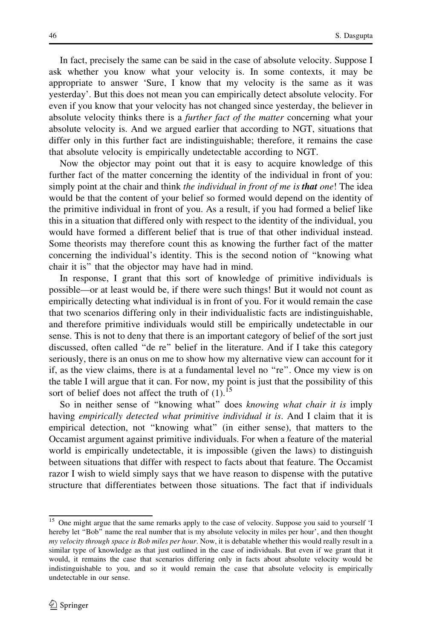In fact, precisely the same can be said in the case of absolute velocity. Suppose I ask whether you know what your velocity is. In some contexts, it may be appropriate to answer 'Sure, I know that my velocity is the same as it was yesterday'. But this does not mean you can empirically detect absolute velocity. For even if you know that your velocity has not changed since yesterday, the believer in absolute velocity thinks there is a *further fact of the matter* concerning what your absolute velocity is. And we argued earlier that according to NGT, situations that differ only in this further fact are indistinguishable; therefore, it remains the case that absolute velocity is empirically undetectable according to NGT.

Now the objector may point out that it is easy to acquire knowledge of this further fact of the matter concerning the identity of the individual in front of you: simply point at the chair and think *the individual in front of me is that one*! The idea would be that the content of your belief so formed would depend on the identity of the primitive individual in front of you. As a result, if you had formed a belief like this in a situation that differed only with respect to the identity of the individual, you would have formed a different belief that is true of that other individual instead. Some theorists may therefore count this as knowing the further fact of the matter concerning the individual's identity. This is the second notion of ''knowing what chair it is'' that the objector may have had in mind.

In response, I grant that this sort of knowledge of primitive individuals is possible—or at least would be, if there were such things! But it would not count as empirically detecting what individual is in front of you. For it would remain the case that two scenarios differing only in their individualistic facts are indistinguishable, and therefore primitive individuals would still be empirically undetectable in our sense. This is not to deny that there is an important category of belief of the sort just discussed, often called ''de re'' belief in the literature. And if I take this category seriously, there is an onus on me to show how my alternative view can account for it if, as the view claims, there is at a fundamental level no ''re''. Once my view is on the table I will argue that it can. For now, my point is just that the possibility of this sort of belief does not affect the truth of  $(1)$ .<sup>15</sup>

So in neither sense of "knowing what" does knowing what chair it is imply having empirically detected what primitive individual it is. And I claim that it is empirical detection, not ''knowing what'' (in either sense), that matters to the Occamist argument against primitive individuals. For when a feature of the material world is empirically undetectable, it is impossible (given the laws) to distinguish between situations that differ with respect to facts about that feature. The Occamist razor I wish to wield simply says that we have reason to dispense with the putative structure that differentiates between those situations. The fact that if individuals

<sup>&</sup>lt;sup>15</sup> One might argue that the same remarks apply to the case of velocity. Suppose you said to yourself 'I hereby let "Bob" name the real number that is my absolute velocity in miles per hour', and then thought my velocity through space is Bob miles per hour. Now, it is debatable whether this would really result in a similar type of knowledge as that just outlined in the case of individuals. But even if we grant that it would, it remains the case that scenarios differing only in facts about absolute velocity would be indistinguishable to you, and so it would remain the case that absolute velocity is empirically undetectable in our sense.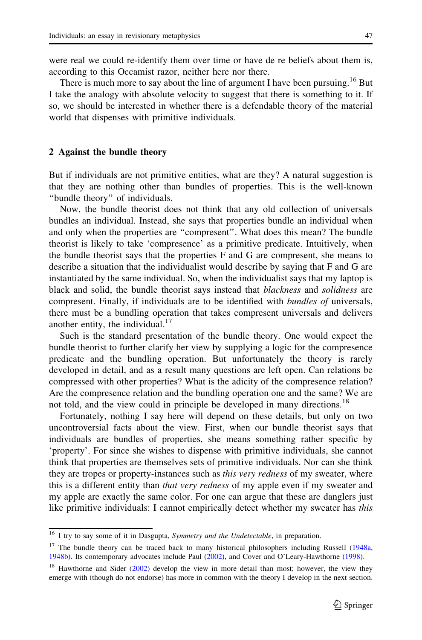<span id="page-12-0"></span>were real we could re-identify them over time or have de re beliefs about them is, according to this Occamist razor, neither here nor there.

There is much more to say about the line of argument I have been pursuing.<sup>16</sup> But I take the analogy with absolute velocity to suggest that there is something to it. If so, we should be interested in whether there is a defendable theory of the material world that dispenses with primitive individuals.

### 2 Against the bundle theory

But if individuals are not primitive entities, what are they? A natural suggestion is that they are nothing other than bundles of properties. This is the well-known ''bundle theory'' of individuals.

Now, the bundle theorist does not think that any old collection of universals bundles an individual. Instead, she says that properties bundle an individual when and only when the properties are ''compresent''. What does this mean? The bundle theorist is likely to take 'compresence' as a primitive predicate. Intuitively, when the bundle theorist says that the properties F and G are compresent, she means to describe a situation that the individualist would describe by saying that F and G are instantiated by the same individual. So, when the individualist says that my laptop is black and solid, the bundle theorist says instead that blackness and solidness are compresent. Finally, if individuals are to be identified with bundles of universals, there must be a bundling operation that takes compresent universals and delivers another entity, the individual.<sup>17</sup>

Such is the standard presentation of the bundle theory. One would expect the bundle theorist to further clarify her view by supplying a logic for the compresence predicate and the bundling operation. But unfortunately the theory is rarely developed in detail, and as a result many questions are left open. Can relations be compressed with other properties? What is the adicity of the compresence relation? Are the compresence relation and the bundling operation one and the same? We are not told, and the view could in principle be developed in many directions.<sup>18</sup>

Fortunately, nothing I say here will depend on these details, but only on two uncontroversial facts about the view. First, when our bundle theorist says that individuals are bundles of properties, she means something rather specific by 'property'. For since she wishes to dispense with primitive individuals, she cannot think that properties are themselves sets of primitive individuals. Nor can she think they are tropes or property-instances such as *this very redness* of my sweater, where this is a different entity than that very redness of my apple even if my sweater and my apple are exactly the same color. For one can argue that these are danglers just like primitive individuals: I cannot empirically detect whether my sweater has this

<sup>&</sup>lt;sup>16</sup> I try to say some of it in Dasgupta, Symmetry and the Undetectable, in preparation.

<sup>&</sup>lt;sup>17</sup> The bundle theory can be traced back to many historical philosophers including Russell ([1948a](#page-32-0), [1948b\)](#page-32-0). Its contemporary advocates include Paul [\(2002](#page-32-0)), and Cover and O'Leary-Hawthorne [\(1998](#page-31-0)).

<sup>&</sup>lt;sup>18</sup> Hawthorne and Sider ([2002\)](#page-31-0) develop the view in more detail than most; however, the view they emerge with (though do not endorse) has more in common with the theory I develop in the next section.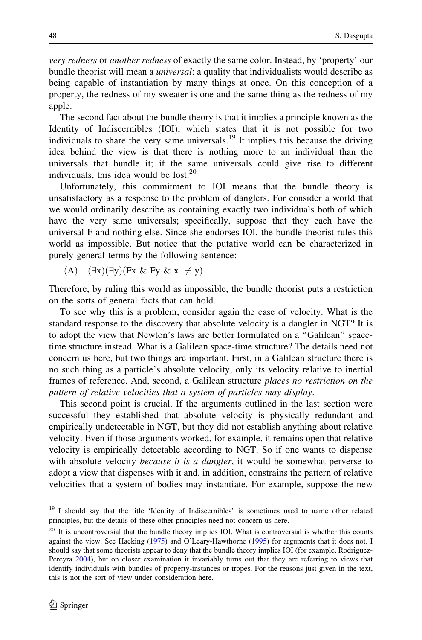very redness or another redness of exactly the same color. Instead, by 'property' our bundle theorist will mean a *universal*: a quality that individualists would describe as being capable of instantiation by many things at once. On this conception of a property, the redness of my sweater is one and the same thing as the redness of my apple.

The second fact about the bundle theory is that it implies a principle known as the Identity of Indiscernibles (IOI), which states that it is not possible for two individuals to share the very same universals.<sup>19</sup> It implies this because the driving idea behind the view is that there is nothing more to an individual than the universals that bundle it; if the same universals could give rise to different individuals, this idea would be lost. $20$ 

Unfortunately, this commitment to IOI means that the bundle theory is unsatisfactory as a response to the problem of danglers. For consider a world that we would ordinarily describe as containing exactly two individuals both of which have the very same universals; specifically, suppose that they each have the universal F and nothing else. Since she endorses IOI, the bundle theorist rules this world as impossible. But notice that the putative world can be characterized in purely general terms by the following sentence:

(A)  $(\exists x)(\exists y)(Fx \& Fy \& x \neq y)$ 

Therefore, by ruling this world as impossible, the bundle theorist puts a restriction on the sorts of general facts that can hold.

To see why this is a problem, consider again the case of velocity. What is the standard response to the discovery that absolute velocity is a dangler in NGT? It is to adopt the view that Newton's laws are better formulated on a ''Galilean'' spacetime structure instead. What is a Galilean space-time structure? The details need not concern us here, but two things are important. First, in a Galilean structure there is no such thing as a particle's absolute velocity, only its velocity relative to inertial frames of reference. And, second, a Galilean structure places no restriction on the pattern of relative velocities that a system of particles may display.

This second point is crucial. If the arguments outlined in the last section were successful they established that absolute velocity is physically redundant and empirically undetectable in NGT, but they did not establish anything about relative velocity. Even if those arguments worked, for example, it remains open that relative velocity is empirically detectable according to NGT. So if one wants to dispense with absolute velocity *because it is a dangler*, it would be somewhat perverse to adopt a view that dispenses with it and, in addition, constrains the pattern of relative velocities that a system of bodies may instantiate. For example, suppose the new

<sup>&</sup>lt;sup>19</sup> I should say that the title 'Identity of Indiscernibles' is sometimes used to name other related principles, but the details of these other principles need not concern us here.

<sup>&</sup>lt;sup>20</sup> It is uncontroversial that the bundle theory implies IOI. What is controversial is whether this counts against the view. See Hacking ([1975\)](#page-31-0) and O'Leary-Hawthorne ([1995\)](#page-32-0) for arguments that it does not. I should say that some theorists appear to deny that the bundle theory implies IOI (for example, Rodriguez-Pereyra [2004\)](#page-32-0), but on closer examination it invariably turns out that they are referring to views that identify individuals with bundles of property-instances or tropes. For the reasons just given in the text, this is not the sort of view under consideration here.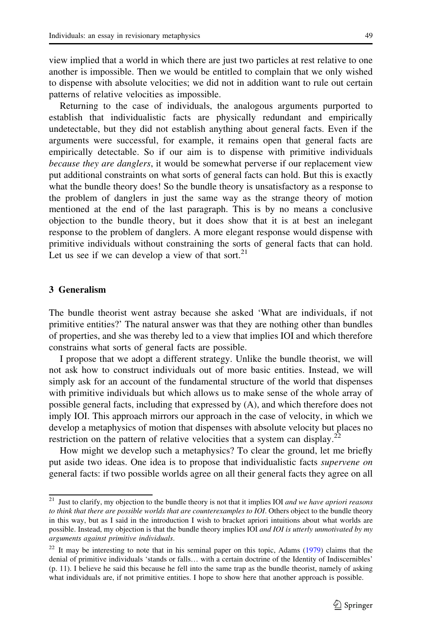<span id="page-14-0"></span>view implied that a world in which there are just two particles at rest relative to one another is impossible. Then we would be entitled to complain that we only wished to dispense with absolute velocities; we did not in addition want to rule out certain patterns of relative velocities as impossible.

Returning to the case of individuals, the analogous arguments purported to establish that individualistic facts are physically redundant and empirically undetectable, but they did not establish anything about general facts. Even if the arguments were successful, for example, it remains open that general facts are empirically detectable. So if our aim is to dispense with primitive individuals because they are danglers, it would be somewhat perverse if our replacement view put additional constraints on what sorts of general facts can hold. But this is exactly what the bundle theory does! So the bundle theory is unsatisfactory as a response to the problem of danglers in just the same way as the strange theory of motion mentioned at the end of the last paragraph. This is by no means a conclusive objection to the bundle theory, but it does show that it is at best an inelegant response to the problem of danglers. A more elegant response would dispense with primitive individuals without constraining the sorts of general facts that can hold. Let us see if we can develop a view of that sort.<sup>21</sup>

# 3 Generalism

The bundle theorist went astray because she asked 'What are individuals, if not primitive entities?' The natural answer was that they are nothing other than bundles of properties, and she was thereby led to a view that implies IOI and which therefore constrains what sorts of general facts are possible.

I propose that we adopt a different strategy. Unlike the bundle theorist, we will not ask how to construct individuals out of more basic entities. Instead, we will simply ask for an account of the fundamental structure of the world that dispenses with primitive individuals but which allows us to make sense of the whole array of possible general facts, including that expressed by (A), and which therefore does not imply IOI. This approach mirrors our approach in the case of velocity, in which we develop a metaphysics of motion that dispenses with absolute velocity but places no restriction on the pattern of relative velocities that a system can display.<sup>22</sup>

How might we develop such a metaphysics? To clear the ground, let me briefly put aside two ideas. One idea is to propose that individualistic facts supervene on general facts: if two possible worlds agree on all their general facts they agree on all

 $21$  Just to clarify, my objection to the bundle theory is not that it implies IOI and we have apriori reasons to think that there are possible worlds that are counterexamples to IOI. Others object to the bundle theory in this way, but as I said in the introduction I wish to bracket apriori intuitions about what worlds are possible. Instead, my objection is that the bundle theory implies IOI and IOI is utterly unmotivated by my arguments against primitive individuals.

 $22$  It may be interesting to note that in his seminal paper on this topic, Adams [\(1979](#page-31-0)) claims that the denial of primitive individuals 'stands or falls… with a certain doctrine of the Identity of Indiscernibles' (p. 11). I believe he said this because he fell into the same trap as the bundle theorist, namely of asking what individuals are, if not primitive entities. I hope to show here that another approach is possible.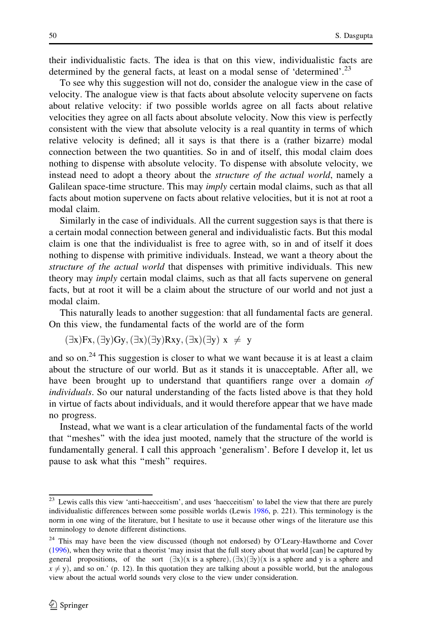their individualistic facts. The idea is that on this view, individualistic facts are determined by the general facts, at least on a modal sense of 'determined'.<sup>23</sup>

To see why this suggestion will not do, consider the analogue view in the case of velocity. The analogue view is that facts about absolute velocity supervene on facts about relative velocity: if two possible worlds agree on all facts about relative velocities they agree on all facts about absolute velocity. Now this view is perfectly consistent with the view that absolute velocity is a real quantity in terms of which relative velocity is defined; all it says is that there is a (rather bizarre) modal connection between the two quantities. So in and of itself, this modal claim does nothing to dispense with absolute velocity. To dispense with absolute velocity, we instead need to adopt a theory about the *structure of the actual world*, namely a Galilean space-time structure. This may *imply* certain modal claims, such as that all facts about motion supervene on facts about relative velocities, but it is not at root a modal claim.

Similarly in the case of individuals. All the current suggestion says is that there is a certain modal connection between general and individualistic facts. But this modal claim is one that the individualist is free to agree with, so in and of itself it does nothing to dispense with primitive individuals. Instead, we want a theory about the structure of the actual world that dispenses with primitive individuals. This new theory may imply certain modal claims, such as that all facts supervene on general facts, but at root it will be a claim about the structure of our world and not just a modal claim.

This naturally leads to another suggestion: that all fundamental facts are general. On this view, the fundamental facts of the world are of the form

$$
(\exists x)Fx, (\exists y)Gy, (\exists x)(\exists y)Rxy, (\exists x)(\exists y) x \neq y
$$

and so on.<sup>24</sup> This suggestion is closer to what we want because it is at least a claim about the structure of our world. But as it stands it is unacceptable. After all, we have been brought up to understand that quantifiers range over a domain of individuals. So our natural understanding of the facts listed above is that they hold in virtue of facts about individuals, and it would therefore appear that we have made no progress.

Instead, what we want is a clear articulation of the fundamental facts of the world that ''meshes'' with the idea just mooted, namely that the structure of the world is fundamentally general. I call this approach 'generalism'. Before I develop it, let us pause to ask what this ''mesh'' requires.

<sup>&</sup>lt;sup>23</sup> Lewis calls this view 'anti-haecceitism', and uses 'haecceitism' to label the view that there are purely individualistic differences between some possible worlds (Lewis [1986,](#page-32-0) p. 221). This terminology is the norm in one wing of the literature, but I hesitate to use it because other wings of the literature use this terminology to denote different distinctions.

 $24$  This may have been the view discussed (though not endorsed) by O'Leary-Hawthorne and Cover ([1996\)](#page-32-0), when they write that a theorist 'may insist that the full story about that world [can] be captured by general propositions, of the sort  $(\exists x)(x \text{ is a sphere}), (\exists x)(\exists y)(x \text{ is a sphere and } y \text{ is a sphere and})$  $x \neq y$ ), and so on.' (p. 12). In this quotation they are talking about a possible world, but the analogous view about the actual world sounds very close to the view under consideration.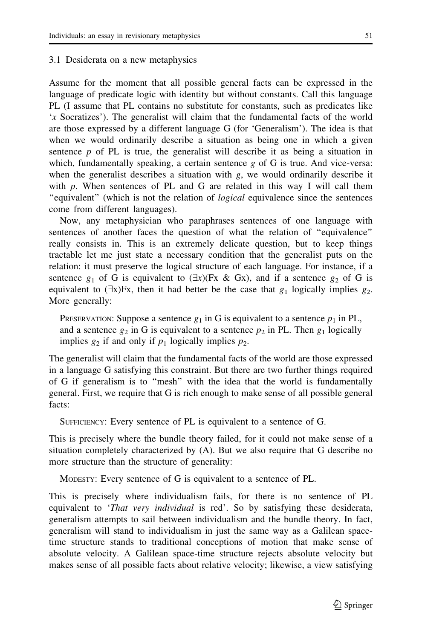#### 3.1 Desiderata on a new metaphysics

Assume for the moment that all possible general facts can be expressed in the language of predicate logic with identity but without constants. Call this language PL (I assume that PL contains no substitute for constants, such as predicates like 'x Socratizes'). The generalist will claim that the fundamental facts of the world are those expressed by a different language G (for 'Generalism'). The idea is that when we would ordinarily describe a situation as being one in which a given sentence  $p$  of PL is true, the generalist will describe it as being a situation in which, fundamentally speaking, a certain sentence  $g$  of G is true. And vice-versa: when the generalist describes a situation with  $g$ , we would ordinarily describe it with  $p$ . When sentences of PL and G are related in this way I will call them ''equivalent'' (which is not the relation of logical equivalence since the sentences come from different languages).

Now, any metaphysician who paraphrases sentences of one language with sentences of another faces the question of what the relation of ''equivalence'' really consists in. This is an extremely delicate question, but to keep things tractable let me just state a necessary condition that the generalist puts on the relation: it must preserve the logical structure of each language. For instance, if a sentence  $g_1$  of G is equivalent to  $(\exists x)(Fx \& Gx)$ , and if a sentence  $g_2$  of G is equivalent to  $(\exists x)Fx$ , then it had better be the case that  $g_1$  logically implies  $g_2$ . More generally:

PRESERVATION: Suppose a sentence  $g_1$  in G is equivalent to a sentence  $p_1$  in PL, and a sentence  $g_2$  in G is equivalent to a sentence  $p_2$  in PL. Then  $g_1$  logically implies  $g_2$  if and only if  $p_1$  logically implies  $p_2$ .

The generalist will claim that the fundamental facts of the world are those expressed in a language G satisfying this constraint. But there are two further things required of G if generalism is to ''mesh'' with the idea that the world is fundamentally general. First, we require that G is rich enough to make sense of all possible general facts:

SUFFICIENCY: Every sentence of PL is equivalent to a sentence of G.

This is precisely where the bundle theory failed, for it could not make sense of a situation completely characterized by (A). But we also require that G describe no more structure than the structure of generality:

MODESTY: Every sentence of G is equivalent to a sentence of PL.

This is precisely where individualism fails, for there is no sentence of PL equivalent to *'That very individual* is red'. So by satisfying these desiderata, generalism attempts to sail between individualism and the bundle theory. In fact, generalism will stand to individualism in just the same way as a Galilean spacetime structure stands to traditional conceptions of motion that make sense of absolute velocity. A Galilean space-time structure rejects absolute velocity but makes sense of all possible facts about relative velocity; likewise, a view satisfying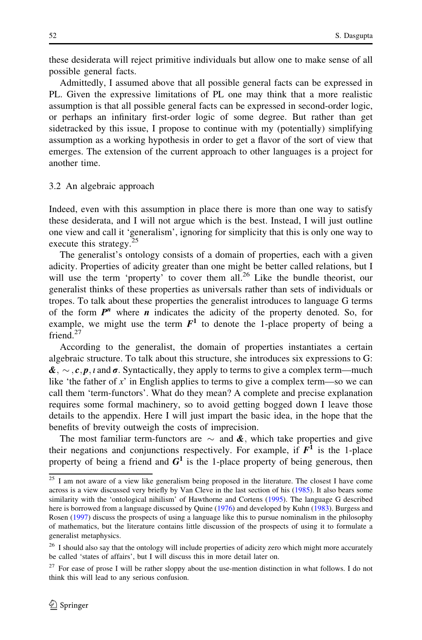these desiderata will reject primitive individuals but allow one to make sense of all possible general facts.

Admittedly, I assumed above that all possible general facts can be expressed in PL. Given the expressive limitations of PL one may think that a more realistic assumption is that all possible general facts can be expressed in second-order logic, or perhaps an infinitary first-order logic of some degree. But rather than get sidetracked by this issue, I propose to continue with my (potentially) simplifying assumption as a working hypothesis in order to get a flavor of the sort of view that emerges. The extension of the current approach to other languages is a project for another time.

#### 3.2 An algebraic approach

Indeed, even with this assumption in place there is more than one way to satisfy these desiderata, and I will not argue which is the best. Instead, I will just outline one view and call it 'generalism', ignoring for simplicity that this is only one way to execute this strategy.<sup>25</sup>

The generalist's ontology consists of a domain of properties, each with a given adicity. Properties of adicity greater than one might be better called relations, but I will use the term 'property' to cover them all.<sup>26</sup> Like the bundle theorist, our generalist thinks of these properties as universals rather than sets of individuals or tropes. To talk about these properties the generalist introduces to language G terms of the form  $P^n$  where *n* indicates the adicity of the property denoted. So, for example, we might use the term  $F<sup>1</sup>$  to denote the 1-place property of being a friend<sup>27</sup>

According to the generalist, the domain of properties instantiates a certain algebraic structure. To talk about this structure, she introduces six expressions to G:  $\boldsymbol{\&}, \sim, \boldsymbol{c}, \boldsymbol{p}, \iota$  and  $\boldsymbol{\sigma}$ . Syntactically, they apply to terms to give a complex term—much like 'the father of x' in English applies to terms to give a complex term—so we can call them 'term-functors'. What do they mean? A complete and precise explanation requires some formal machinery, so to avoid getting bogged down I leave those details to the appendix. Here I will just impart the basic idea, in the hope that the benefits of brevity outweigh the costs of imprecision.

The most familiar term-functors are  $\sim$  and  $\&$ , which take properties and give their negations and conjunctions respectively. For example, if  $F^{\bar{1}}$  is the 1-place property of being a friend and  $G^1$  is the 1-place property of being generous, then

<sup>&</sup>lt;sup>25</sup> I am not aware of a view like generalism being proposed in the literature. The closest I have come across is a view discussed very briefly by Van Cleve in the last section of his ([1985\)](#page-32-0). It also bears some similarity with the 'ontological nihilism' of Hawthorne and Cortens [\(1995\)](#page-31-0). The language G described here is borrowed from a language discussed by Quine [\(1976](#page-32-0)) and developed by Kuhn ([1983\)](#page-32-0). Burgess and Rosen ([1997\)](#page-31-0) discuss the prospects of using a language like this to pursue nominalism in the philosophy of mathematics, but the literature contains little discussion of the prospects of using it to formulate a generalist metaphysics.

<sup>&</sup>lt;sup>26</sup> I should also say that the ontology will include properties of adicity zero which might more accurately be called 'states of affairs', but I will discuss this in more detail later on.

<sup>&</sup>lt;sup>27</sup> For ease of prose I will be rather sloppy about the use-mention distinction in what follows. I do not think this will lead to any serious confusion.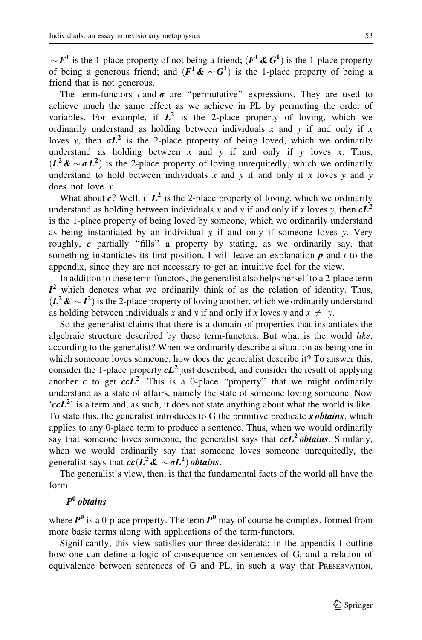$\sim F^1$  is the 1-place property of not being a friend;  $(F^1 \& G^1)$  is the 1-place property of being a generous friend; and  $(F^1 \& \sim G^1)$  is the 1-place property of being a friend that is not generous.

The term-functors  $\iota$  and  $\sigma$  are "permutative" expressions. They are used to achieve much the same effect as we achieve in PL by permuting the order of variables. For example, if  $L^2$  is the 2-place property of loving, which we ordinarily understand as holding between individuals x and y if and only if x loves y, then  $\sigma L^2$  is the 2-place property of being loved, which we ordinarily understand as holding between x and y if and only if y loves x. Thus,  $(L^2 \& \sim \sigma L^2)$  is the 2-place property of loving unrequitedly, which we ordinarily understand to hold between individuals x and y if and only if x loves y and y does not love x.

What about c? Well, if  $L^2$  is the 2-place property of loving, which we ordinarily understand as holding between individuals x and y if and only if x loves y, then  $cL^2$ is the 1-place property of being loved by someone, which we ordinarily understand as being instantiated by an individual y if and only if someone loves y. Very roughly,  $c$  partially "fills" a property by stating, as we ordinarily say, that something instantiates its first position. I will leave an explanation  $p$  and  $i$  to the appendix, since they are not necessary to get an intuitive feel for the view.

In addition to these term-functors, the generalist also helps herself to a 2-place term  $I<sup>2</sup>$  which denotes what we ordinarily think of as the relation of identity. Thus,  $(L^2 \mathcal{L} \setminus I^2)$  is the 2-place property of loving another, which we ordinarily understand as holding between individuals x and y if and only if x loves y and  $x \neq y$ .

So the generalist claims that there is a domain of properties that instantiates the algebraic structure described by these term-functors. But what is the world like, according to the generalist? When we ordinarily describe a situation as being one in which someone loves someone, how does the generalist describe it? To answer this, consider the 1-place property  $cL^2$  just described, and consider the result of applying another c to get  $c c L<sup>2</sup>$ . This is a 0-place "property" that we might ordinarily understand as a state of affairs, namely the state of someone loving someone. Now  $(ccL<sup>2</sup>)$  is a term and, as such, it does not state anything about what the world is like. To state this, the generalist introduces to G the primitive predicate  $x \textit{obtains}$ , which applies to any 0-place term to produce a sentence. Thus, when we would ordinarily say that someone loves someone, the generalist says that  $ccL^2$  obtains. Similarly, when we would ordinarily say that someone loves someone unrequitedly, the generalist says that  $cc(L^2 \& \sim \sigma L^2)$  obtains.

The generalist's view, then, is that the fundamental facts of the world all have the form

# $P^0$  obtains

where  $P^0$  is a 0-place property. The term  $P^0$  may of course be complex, formed from more basic terms along with applications of the term-functors.

Significantly, this view satisfies our three desiderata: in the appendix I outline how one can define a logic of consequence on sentences of G, and a relation of equivalence between sentences of G and PL, in such a way that PRESERVATION,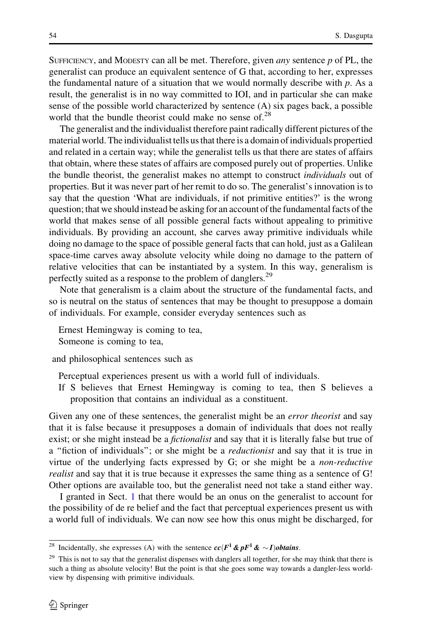SUFFICIENCY, and MODESTY can all be met. Therefore, given *any* sentence  $p$  of PL, the generalist can produce an equivalent sentence of G that, according to her, expresses the fundamental nature of a situation that we would normally describe with p. As a result, the generalist is in no way committed to IOI, and in particular she can make sense of the possible world characterized by sentence (A) six pages back, a possible world that the bundle theorist could make no sense of. $^{28}$ 

The generalist and the individualist therefore paint radically different pictures of the material world. The individualist tells us that there is a domain of individuals propertied and related in a certain way; while the generalist tells us that there are states of affairs that obtain, where these states of affairs are composed purely out of properties. Unlike the bundle theorist, the generalist makes no attempt to construct *individuals* out of properties. But it was never part of her remit to do so. The generalist's innovation is to say that the question 'What are individuals, if not primitive entities?' is the wrong question; that we should instead be asking for an account of the fundamental facts of the world that makes sense of all possible general facts without appealing to primitive individuals. By providing an account, she carves away primitive individuals while doing no damage to the space of possible general facts that can hold, just as a Galilean space-time carves away absolute velocity while doing no damage to the pattern of relative velocities that can be instantiated by a system. In this way, generalism is perfectly suited as a response to the problem of danglers.<sup>29</sup>

Note that generalism is a claim about the structure of the fundamental facts, and so is neutral on the status of sentences that may be thought to presuppose a domain of individuals. For example, consider everyday sentences such as

Ernest Hemingway is coming to tea,

Someone is coming to tea,

and philosophical sentences such as

Perceptual experiences present us with a world full of individuals.

If S believes that Ernest Hemingway is coming to tea, then S believes a proposition that contains an individual as a constituent.

Given any one of these sentences, the generalist might be an *error theorist* and say that it is false because it presupposes a domain of individuals that does not really exist; or she might instead be a *fictionalist* and say that it is literally false but true of a "fiction of individuals"; or she might be a *reductionist* and say that it is true in virtue of the underlying facts expressed by G; or she might be a non-reductive realist and say that it is true because it expresses the same thing as a sentence of G! Other options are available too, but the generalist need not take a stand either way.

I granted in Sect. [1](#page-2-0) that there would be an onus on the generalist to account for the possibility of de re belief and the fact that perceptual experiences present us with a world full of individuals. We can now see how this onus might be discharged, for

<sup>&</sup>lt;sup>28</sup> Incidentally, she expresses (A) with the sentence  $cc(F^1 \& pF^1 \& \sim I)$ obtains.

<sup>&</sup>lt;sup>29</sup> This is not to say that the generalist dispenses with danglers all together, for she may think that there is such a thing as absolute velocity! But the point is that she goes some way towards a dangler-less worldview by dispensing with primitive individuals.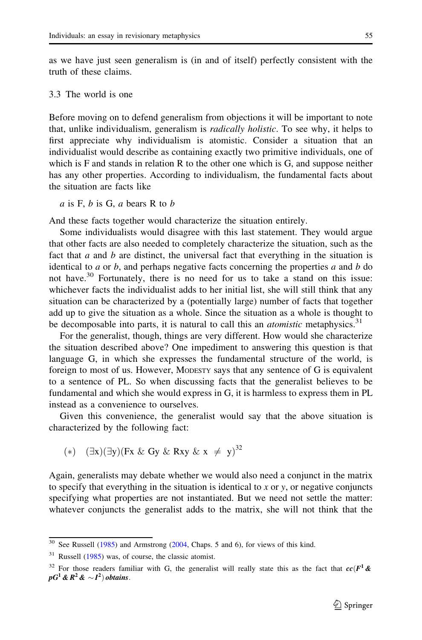as we have just seen generalism is (in and of itself) perfectly consistent with the truth of these claims.

# 3.3 The world is one

Before moving on to defend generalism from objections it will be important to note that, unlike individualism, generalism is radically holistic. To see why, it helps to first appreciate why individualism is atomistic. Consider a situation that an individualist would describe as containing exactly two primitive individuals, one of which is F and stands in relation R to the other one which is G, and suppose neither has any other properties. According to individualism, the fundamental facts about the situation are facts like

 $a$  is F,  $b$  is G,  $a$  bears R to  $b$ 

And these facts together would characterize the situation entirely.

Some individualists would disagree with this last statement. They would argue that other facts are also needed to completely characterize the situation, such as the fact that  $a$  and  $b$  are distinct, the universal fact that everything in the situation is identical to  $a$  or  $b$ , and perhaps negative facts concerning the properties  $a$  and  $b$  do not have.<sup>30</sup> Fortunately, there is no need for us to take a stand on this issue: whichever facts the individualist adds to her initial list, she will still think that any situation can be characterized by a (potentially large) number of facts that together add up to give the situation as a whole. Since the situation as a whole is thought to be decomposable into parts, it is natural to call this an *atomistic* metaphysics.<sup>31</sup>

For the generalist, though, things are very different. How would she characterize the situation described above? One impediment to answering this question is that language G, in which she expresses the fundamental structure of the world, is foreign to most of us. However, MODESTY says that any sentence of G is equivalent to a sentence of PL. So when discussing facts that the generalist believes to be fundamental and which she would express in G, it is harmless to express them in PL instead as a convenience to ourselves.

Given this convenience, the generalist would say that the above situation is characterized by the following fact:

$$
(*) \quad (\exists x)(\exists y)(Fx \& Gy \& Rxy \& x \neq y)^{32}
$$

Again, generalists may debate whether we would also need a conjunct in the matrix to specify that everything in the situation is identical to x or y, or negative conjuncts specifying what properties are not instantiated. But we need not settle the matter: whatever conjuncts the generalist adds to the matrix, she will not think that the

 $\frac{30}{30}$  See Russell ([1985\)](#page-32-0) and Armstrong ([2004,](#page-31-0) Chaps. 5 and 6), for views of this kind.

<sup>31</sup> Russell ([1985\)](#page-32-0) was, of course, the classic atomist.

<sup>&</sup>lt;sup>32</sup> For those readers familiar with G, the generalist will really state this as the fact that  $cc(F<sup>1</sup>$  &  $pG^1\,\&\, R^2\,\&\sim\!I^2)\,obtains.$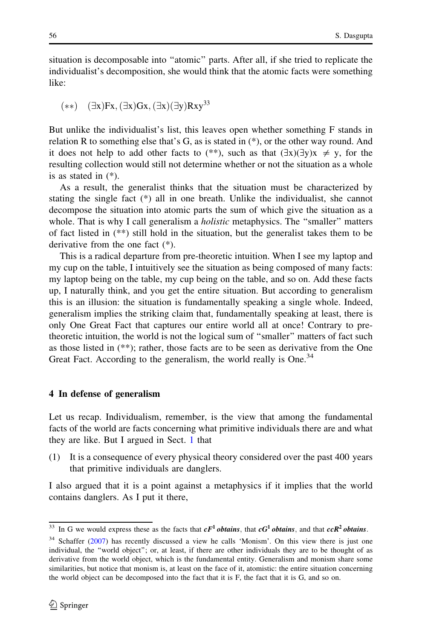<span id="page-21-0"></span>situation is decomposable into ''atomic'' parts. After all, if she tried to replicate the individualist's decomposition, she would think that the atomic facts were something like:

$$
(**) \quad (\exists x)Fx, (\exists x)Gx, (\exists x)(\exists y)Rxy^{33}
$$

But unlike the individualist's list, this leaves open whether something F stands in relation R to something else that's G, as is stated in (\*), or the other way round. And it does not help to add other facts to (\*\*), such as that  $(\exists x)(\exists y)x \neq y$ , for the resulting collection would still not determine whether or not the situation as a whole is as stated in (\*).

As a result, the generalist thinks that the situation must be characterized by stating the single fact (\*) all in one breath. Unlike the individualist, she cannot decompose the situation into atomic parts the sum of which give the situation as a whole. That is why I call generalism a *holistic* metaphysics. The "smaller" matters of fact listed in  $(**)$  still hold in the situation, but the generalist takes them to be derivative from the one fact (\*).

This is a radical departure from pre-theoretic intuition. When I see my laptop and my cup on the table, I intuitively see the situation as being composed of many facts: my laptop being on the table, my cup being on the table, and so on. Add these facts up, I naturally think, and you get the entire situation. But according to generalism this is an illusion: the situation is fundamentally speaking a single whole. Indeed, generalism implies the striking claim that, fundamentally speaking at least, there is only One Great Fact that captures our entire world all at once! Contrary to pretheoretic intuition, the world is not the logical sum of ''smaller'' matters of fact such as those listed in (\*\*); rather, those facts are to be seen as derivative from the One Great Fact. According to the generalism, the world really is One.<sup>34</sup>

#### 4 In defense of generalism

Let us recap. Individualism, remember, is the view that among the fundamental facts of the world are facts concerning what primitive individuals there are and what they are like. But I argued in Sect. [1](#page-2-0) that

(1) It is a consequence of every physical theory considered over the past 400 years that primitive individuals are danglers.

I also argued that it is a point against a metaphysics if it implies that the world contains danglers. As I put it there,

<sup>&</sup>lt;sup>33</sup> In G we would express these as the facts that  $cF^1$  *obtains*, that  $cG^1$  *obtains*, and that  $ccR^2$  *obtains*.

<sup>&</sup>lt;sup>34</sup> Schaffer [\(2007](#page-32-0)) has recently discussed a view he calls 'Monism'. On this view there is just one individual, the ''world object''; or, at least, if there are other individuals they are to be thought of as derivative from the world object, which is the fundamental entity. Generalism and monism share some similarities, but notice that monism is, at least on the face of it, atomistic: the entire situation concerning the world object can be decomposed into the fact that it is F, the fact that it is G, and so on.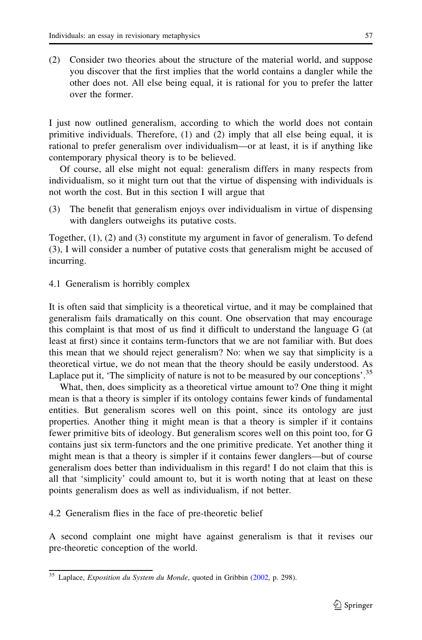(2) Consider two theories about the structure of the material world, and suppose you discover that the first implies that the world contains a dangler while the other does not. All else being equal, it is rational for you to prefer the latter over the former.

I just now outlined generalism, according to which the world does not contain primitive individuals. Therefore, (1) and (2) imply that all else being equal, it is rational to prefer generalism over individualism—or at least, it is if anything like contemporary physical theory is to be believed.

Of course, all else might not equal: generalism differs in many respects from individualism, so it might turn out that the virtue of dispensing with individuals is not worth the cost. But in this section I will argue that

(3) The benefit that generalism enjoys over individualism in virtue of dispensing with danglers outweighs its putative costs.

Together, (1), (2) and (3) constitute my argument in favor of generalism. To defend (3), I will consider a number of putative costs that generalism might be accused of incurring.

4.1 Generalism is horribly complex

It is often said that simplicity is a theoretical virtue, and it may be complained that generalism fails dramatically on this count. One observation that may encourage this complaint is that most of us find it difficult to understand the language G (at least at first) since it contains term-functors that we are not familiar with. But does this mean that we should reject generalism? No: when we say that simplicity is a theoretical virtue, we do not mean that the theory should be easily understood. As Laplace put it, 'The simplicity of nature is not to be measured by our conceptions'.<sup>35</sup>

What, then, does simplicity as a theoretical virtue amount to? One thing it might mean is that a theory is simpler if its ontology contains fewer kinds of fundamental entities. But generalism scores well on this point, since its ontology are just properties. Another thing it might mean is that a theory is simpler if it contains fewer primitive bits of ideology. But generalism scores well on this point too, for G contains just six term-functors and the one primitive predicate. Yet another thing it might mean is that a theory is simpler if it contains fewer danglers—but of course generalism does better than individualism in this regard! I do not claim that this is all that 'simplicity' could amount to, but it is worth noting that at least on these points generalism does as well as individualism, if not better.

4.2 Generalism flies in the face of pre-theoretic belief

A second complaint one might have against generalism is that it revises our pre-theoretic conception of the world.

<sup>&</sup>lt;sup>35</sup> Laplace, Exposition du System du Monde, quoted in Gribbin ([2002,](#page-31-0) p. 298).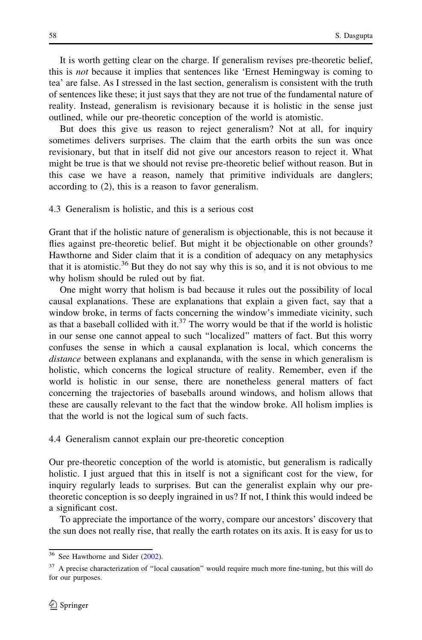It is worth getting clear on the charge. If generalism revises pre-theoretic belief, this is *not* because it implies that sentences like 'Ernest Hemingway is coming to tea' are false. As I stressed in the last section, generalism is consistent with the truth of sentences like these; it just says that they are not true of the fundamental nature of reality. Instead, generalism is revisionary because it is holistic in the sense just outlined, while our pre-theoretic conception of the world is atomistic.

But does this give us reason to reject generalism? Not at all, for inquiry sometimes delivers surprises. The claim that the earth orbits the sun was once revisionary, but that in itself did not give our ancestors reason to reject it. What might be true is that we should not revise pre-theoretic belief without reason. But in this case we have a reason, namely that primitive individuals are danglers; according to (2), this is a reason to favor generalism.

# 4.3 Generalism is holistic, and this is a serious cost

Grant that if the holistic nature of generalism is objectionable, this is not because it flies against pre-theoretic belief. But might it be objectionable on other grounds? Hawthorne and Sider claim that it is a condition of adequacy on any metaphysics that it is atomistic.<sup>36</sup> But they do not say why this is so, and it is not obvious to me why holism should be ruled out by fiat.

One might worry that holism is bad because it rules out the possibility of local causal explanations. These are explanations that explain a given fact, say that a window broke, in terms of facts concerning the window's immediate vicinity, such as that a baseball collided with it. $37$  The worry would be that if the world is holistic in our sense one cannot appeal to such ''localized'' matters of fact. But this worry confuses the sense in which a causal explanation is local, which concerns the distance between explanans and explananda, with the sense in which generalism is holistic, which concerns the logical structure of reality. Remember, even if the world is holistic in our sense, there are nonetheless general matters of fact concerning the trajectories of baseballs around windows, and holism allows that these are causally relevant to the fact that the window broke. All holism implies is that the world is not the logical sum of such facts.

#### 4.4 Generalism cannot explain our pre-theoretic conception

Our pre-theoretic conception of the world is atomistic, but generalism is radically holistic. I just argued that this in itself is not a significant cost for the view, for inquiry regularly leads to surprises. But can the generalist explain why our pretheoretic conception is so deeply ingrained in us? If not, I think this would indeed be a significant cost.

To appreciate the importance of the worry, compare our ancestors' discovery that the sun does not really rise, that really the earth rotates on its axis. It is easy for us to

<sup>36</sup> See Hawthorne and Sider [\(2002](#page-31-0)).

<sup>&</sup>lt;sup>37</sup> A precise characterization of "local causation" would require much more fine-tuning, but this will do for our purposes.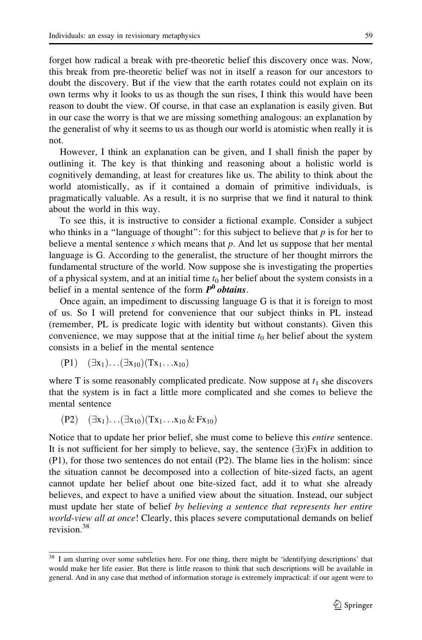forget how radical a break with pre-theoretic belief this discovery once was. Now, this break from pre-theoretic belief was not in itself a reason for our ancestors to doubt the discovery. But if the view that the earth rotates could not explain on its own terms why it looks to us as though the sun rises, I think this would have been reason to doubt the view. Of course, in that case an explanation is easily given. But in our case the worry is that we are missing something analogous: an explanation by the generalist of why it seems to us as though our world is atomistic when really it is not.

However, I think an explanation can be given, and I shall finish the paper by outlining it. The key is that thinking and reasoning about a holistic world is cognitively demanding, at least for creatures like us. The ability to think about the world atomistically, as if it contained a domain of primitive individuals, is pragmatically valuable. As a result, it is no surprise that we find it natural to think about the world in this way.

To see this, it is instructive to consider a fictional example. Consider a subject who thinks in a "language of thought": for this subject to believe that  $p$  is for her to believe a mental sentence  $s$  which means that  $p$ . And let us suppose that her mental language is G. According to the generalist, the structure of her thought mirrors the fundamental structure of the world. Now suppose she is investigating the properties of a physical system, and at an initial time  $t_0$  her belief about the system consists in a belief in a mental sentence of the form  $P^0$  obtains.

Once again, an impediment to discussing language G is that it is foreign to most of us. So I will pretend for convenience that our subject thinks in PL instead (remember, PL is predicate logic with identity but without constants). Given this convenience, we may suppose that at the initial time  $t_0$  her belief about the system consists in a belief in the mental sentence

$$
(P1) \quad (\exists x_1) \dots (\exists x_{10})(Tx_1 \dots x_{10})
$$

where T is some reasonably complicated predicate. Now suppose at  $t_1$  she discovers that the system is in fact a little more complicated and she comes to believe the mental sentence

$$
(P2) \quad (\exists x_1) \dots (\exists x_{10}) (Tx_1 \dots x_{10} \& Fx_{10})
$$

Notice that to update her prior belief, she must come to believe this *entire* sentence. It is not sufficient for her simply to believe, say, the sentence  $(\exists x)Fx$  in addition to (P1), for those two sentences do not entail (P2). The blame lies in the holism: since the situation cannot be decomposed into a collection of bite-sized facts, an agent cannot update her belief about one bite-sized fact, add it to what she already believes, and expect to have a unified view about the situation. Instead, our subject must update her state of belief by believing a sentence that represents her entire world-view all at once! Clearly, this places severe computational demands on belief revision.<sup>38</sup>

<sup>&</sup>lt;sup>38</sup> I am slurring over some subtleties here. For one thing, there might be 'identifying descriptions' that would make her life easier. But there is little reason to think that such descriptions will be available in general. And in any case that method of information storage is extremely impractical: if our agent were to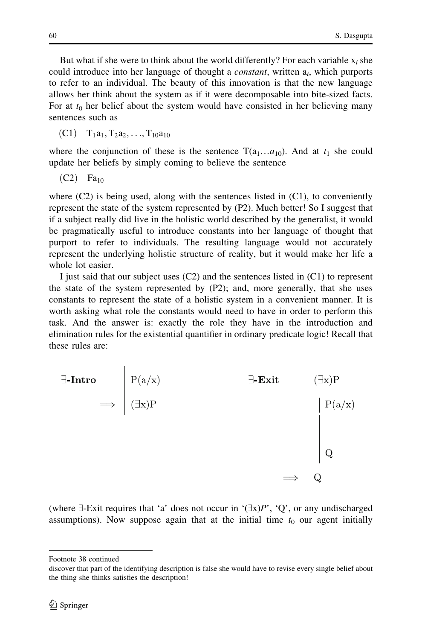But what if she were to think about the world differently? For each variable  $x_i$  she could introduce into her language of thought a *constant*, written  $a_i$ , which purports to refer to an individual. The beauty of this innovation is that the new language allows her think about the system as if it were decomposable into bite-sized facts. For at  $t_0$  her belief about the system would have consisted in her believing many sentences such as

(C1) 
$$
T_1a_1, T_2a_2, \ldots, T_{10}a_{10}
$$

where the conjunction of these is the sentence  $T(a_1...a_{10})$ . And at  $t_1$  she could update her beliefs by simply coming to believe the sentence

$$
(C2) \quad Fa_{10}
$$

where  $(C2)$  is being used, along with the sentences listed in  $(C1)$ , to conveniently represent the state of the system represented by (P2). Much better! So I suggest that if a subject really did live in the holistic world described by the generalist, it would be pragmatically useful to introduce constants into her language of thought that purport to refer to individuals. The resulting language would not accurately represent the underlying holistic structure of reality, but it would make her life a whole lot easier.

I just said that our subject uses (C2) and the sentences listed in (C1) to represent the state of the system represented by (P2); and, more generally, that she uses constants to represent the state of a holistic system in a convenient manner. It is worth asking what role the constants would need to have in order to perform this task. And the answer is: exactly the role they have in the introduction and elimination rules for the existential quantifier in ordinary predicate logic! Recall that these rules are:



(where  $\exists$ -Exit requires that 'a' does not occur in ' $(\exists x)P'$ , 'Q', or any undischarged assumptions). Now suppose again that at the initial time  $t_0$  our agent initially

Footnote 38 continued

discover that part of the identifying description is false she would have to revise every single belief about the thing she thinks satisfies the description!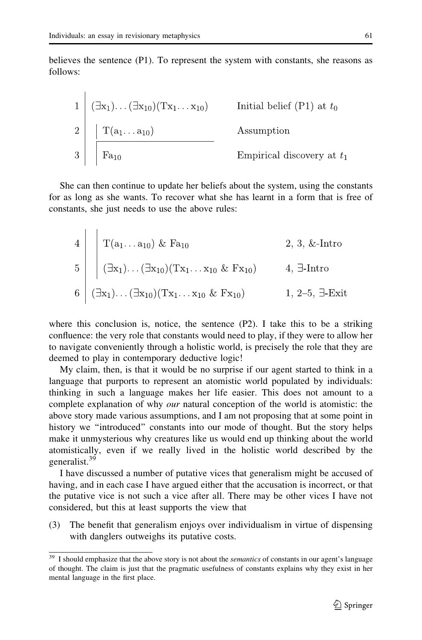ï

believes the sentence (P1). To represent the system with constants, she reasons as follows:

1 
$$
(\exists x_1)...(\exists x_{10})(Tx_1...x_{10})
$$
 Initial belief (P1) at  $t_0$   
2  $|T(a_1...a_{10})$  Assumption  
3  $|F_{a_{10}}$  Empirical discovery at  $t_1$ 

She can then continue to update her beliefs about the system, using the constants for as long as she wants. To recover what she has learnt in a form that is free of constants, she just needs to use the above rules:

4  
\n
$$
\begin{array}{c|c}\n1 & \text{T}(a_1 \dots a_{10}) & \& Fa_{10} \\
\hline\n5 & \bigg| & \bigg(\exists x_1) \dots (\exists x_{10})(Tx_1 \dots x_{10} & Fx_{10})\bigg| & 4, \exists \text{-Intro} \\
6 & \bigg(\exists x_1) \dots (\exists x_{10})(Tx_1 \dots x_{10} & Fx_{10})\bigg| & 1, 2-5, \exists \text{-Exit}\n\end{array}
$$

where this conclusion is, notice, the sentence (P2). I take this to be a striking confluence: the very role that constants would need to play, if they were to allow her to navigate conveniently through a holistic world, is precisely the role that they are deemed to play in contemporary deductive logic!

My claim, then, is that it would be no surprise if our agent started to think in a language that purports to represent an atomistic world populated by individuals: thinking in such a language makes her life easier. This does not amount to a complete explanation of why *our* natural conception of the world is atomistic: the above story made various assumptions, and I am not proposing that at some point in history we ''introduced'' constants into our mode of thought. But the story helps make it unmysterious why creatures like us would end up thinking about the world atomistically, even if we really lived in the holistic world described by the generalist.<sup>39</sup>

I have discussed a number of putative vices that generalism might be accused of having, and in each case I have argued either that the accusation is incorrect, or that the putative vice is not such a vice after all. There may be other vices I have not considered, but this at least supports the view that

(3) The benefit that generalism enjoys over individualism in virtue of dispensing with danglers outweighs its putative costs.

 $\frac{39}{15}$  I should emphasize that the above story is not about the *semantics* of constants in our agent's language of thought. The claim is just that the pragmatic usefulness of constants explains why they exist in her mental language in the first place.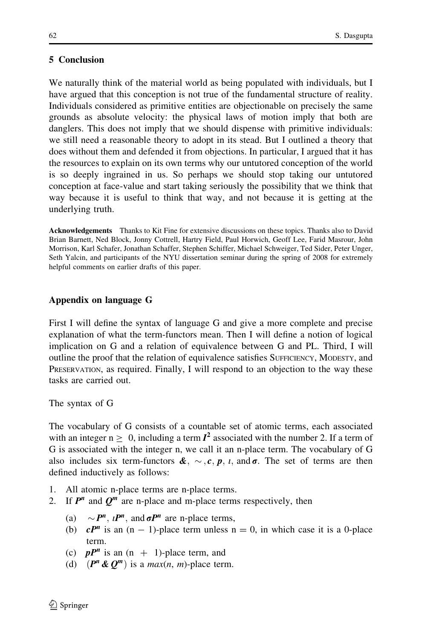# 5 Conclusion

We naturally think of the material world as being populated with individuals, but I have argued that this conception is not true of the fundamental structure of reality. Individuals considered as primitive entities are objectionable on precisely the same grounds as absolute velocity: the physical laws of motion imply that both are danglers. This does not imply that we should dispense with primitive individuals: we still need a reasonable theory to adopt in its stead. But I outlined a theory that does without them and defended it from objections. In particular, I argued that it has the resources to explain on its own terms why our untutored conception of the world is so deeply ingrained in us. So perhaps we should stop taking our untutored conception at face-value and start taking seriously the possibility that we think that way because it is useful to think that way, and not because it is getting at the underlying truth.

Acknowledgements Thanks to Kit Fine for extensive discussions on these topics. Thanks also to David Brian Barnett, Ned Block, Jonny Cottrell, Hartry Field, Paul Horwich, Geoff Lee, Farid Masrour, John Morrison, Karl Schafer, Jonathan Schaffer, Stephen Schiffer, Michael Schweiger, Ted Sider, Peter Unger, Seth Yalcin, and participants of the NYU dissertation seminar during the spring of 2008 for extremely helpful comments on earlier drafts of this paper.

# Appendix on language G

First I will define the syntax of language G and give a more complete and precise explanation of what the term-functors mean. Then I will define a notion of logical implication on G and a relation of equivalence between G and PL. Third, I will outline the proof that the relation of equivalence satisfies SUFFICIENCY, MODESTY, and PRESERVATION, as required. Finally, I will respond to an objection to the way these tasks are carried out.

The syntax of G

The vocabulary of G consists of a countable set of atomic terms, each associated with an integer  $n > 0$ , including a term  $I^2$  associated with the number 2. If a term of G is associated with the integer n, we call it an n-place term. The vocabulary of G also includes six term-functors  $\mathbf{A}, \sim, c, p, i$ , and  $\sigma$ . The set of terms are then defined inductively as follows:

- 1. All atomic n-place terms are n-place terms.
- 2. If  $P^n$  and  $Q^m$  are n-place and m-place terms respectively, then
	- (a)  $\sim P^n$ ,  $\iota P^n$ , and  $\sigma P^n$  are n-place terms,
	- (b)  $cP^n$  is an  $(n 1)$ -place term unless  $n = 0$ , in which case it is a 0-place term.
	- (c)  $pP^n$  is an  $(n + 1)$ -place term, and
	- (d)  $(P^n \& Q^m)$  is a max(n, m)-place term.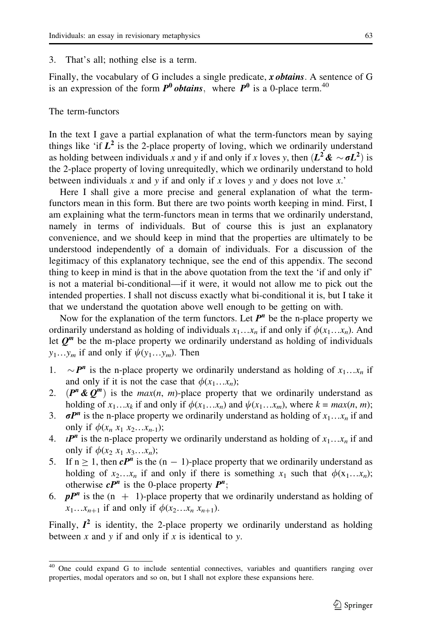#### 3. That's all; nothing else is a term.

Finally, the vocabulary of G includes a single predicate,  $x \text{ obtains}$ . A sentence of G is an expression of the form  $P^0$  *obtains*, where  $P^0$  is a 0-place term.<sup>40</sup>

# The term-functors

In the text I gave a partial explanation of what the term-functors mean by saying things like 'if  $L^2$  is the 2-place property of loving, which we ordinarily understand as holding between individuals x and y if and only if x loves y, then  $(L^2 \& \sim \sigma L^2)$  is the 2-place property of loving unrequitedly, which we ordinarily understand to hold between individuals x and y if and only if x loves y and y does not love x.'

Here I shall give a more precise and general explanation of what the termfunctors mean in this form. But there are two points worth keeping in mind. First, I am explaining what the term-functors mean in terms that we ordinarily understand, namely in terms of individuals. But of course this is just an explanatory convenience, and we should keep in mind that the properties are ultimately to be understood independently of a domain of individuals. For a discussion of the legitimacy of this explanatory technique, see the end of this appendix. The second thing to keep in mind is that in the above quotation from the text the 'if and only if' is not a material bi-conditional—if it were, it would not allow me to pick out the intended properties. I shall not discuss exactly what bi-conditional it is, but I take it that we understand the quotation above well enough to be getting on with.

Now for the explanation of the term functors. Let  $P<sup>n</sup>$  be the n-place property we ordinarily understand as holding of individuals  $x_1...x_n$  if and only if  $\phi(x_1...x_n)$ . And let  $Q^m$  be the m-place property we ordinarily understand as holding of individuals  $y_1...y_m$  if and only if  $\psi(y_1...y_m)$ . Then

- 1.  $\sim P^n$  is the n-place property we ordinarily understand as holding of  $x_1...x_n$  if and only if it is not the case that  $\phi(x_1...x_n);$
- 2.  $(P^n \& Q^m)$  is the *max(n, m)*-place property that we ordinarily understand as holding of  $x_1...x_k$  if and only if  $\phi(x_1...x_n)$  and  $\psi(x_1...x_m)$ , where  $k = max(n, m)$ ;
- 3.  $\sigma P^n$  is the n-place property we ordinarily understand as holding of  $x_1...x_n$  if and only if  $\phi(x_n x_1 x_2 ... x_{n-1});$
- 4. *IP<sup>n</sup>* is the n-place property we ordinarily understand as holding of  $x_1...x_n$  if and only if  $\phi(x_2 x_1 x_3 \ldots x_n);$
- 5. If  $n \ge 1$ , then  $cP^n$  is the  $(n 1)$ -place property that we ordinarily understand as holding of  $x_2...x_n$  if and only if there is something  $x_1$  such that  $\phi(x_1...x_n)$ ; otherwise  $cP^n$  is the 0-place property  $P^n$ ;
- 6. *pP<sup>n</sup>* is the  $(n + 1)$ -place property that we ordinarily understand as holding of  $x_1 \ldots x_{n+1}$  if and only if  $\phi(x_2 \ldots x_n x_{n+1})$ .

Finally,  $I^2$  is identity, the 2-place property we ordinarily understand as holding between  $x$  and  $y$  if and only if  $x$  is identical to  $y$ .

<sup>&</sup>lt;sup>40</sup> One could expand G to include sentential connectives, variables and quantifiers ranging over properties, modal operators and so on, but I shall not explore these expansions here.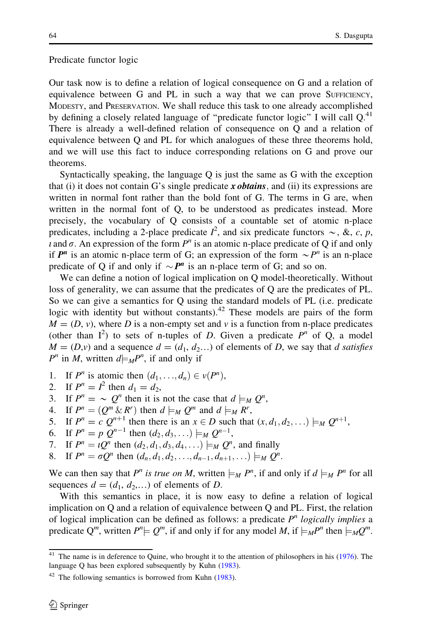#### Predicate functor logic

Our task now is to define a relation of logical consequence on G and a relation of equivalence between G and PL in such a way that we can prove SUFFICIENCY, MODESTY, and PRESERVATION. We shall reduce this task to one already accomplished by defining a closely related language of "predicate functor logic" I will call  $Q$ <sup>41</sup> There is already a well-defined relation of consequence on Q and a relation of equivalence between Q and PL for which analogues of these three theorems hold, and we will use this fact to induce corresponding relations on G and prove our theorems.

Syntactically speaking, the language Q is just the same as G with the exception that (i) it does not contain G's single predicate x obtains, and (ii) its expressions are written in normal font rather than the bold font of G. The terms in G are, when written in the normal font of Q, to be understood as predicates instead. More precisely, the vocabulary of Q consists of a countable set of atomic n-place predicates, including a 2-place predicate  $I^2$ , and six predicate functors  $\sim$ , &, c, p,  $\iota$  and  $\sigma$ . An expression of the form  $P^n$  is an atomic n-place predicate of Q if and only if  $P^n$  is an atomic n-place term of G; an expression of the form  $\sim P^n$  is an n-place predicate of Q if and only if  $\sim P^n$  is an n-place term of G; and so on.

We can define a notion of logical implication on Q model-theoretically. Without loss of generality, we can assume that the predicates of Q are the predicates of PL. So we can give a semantics for Q using the standard models of PL (i.e. predicate logic with identity but without constants).<sup>42</sup> These models are pairs of the form  $M = (D, v)$ , where D is a non-empty set and v is a function from n-place predicates (other than  $I^2$ ) to sets of n-tuples of D. Given a predicate  $P^n$  of Q, a model  $M = (D, v)$  and a sequence  $d = (d_1, d_2, ...)$  of elements of D, we say that d satisfies  $P^n$  in M, written  $d \models_M P^n$ , if and only if

- 1. If  $P^n$  is atomic then  $(d_1, \ldots, d_n) \in v(P^n)$ ,
- 2. If  $P^n = I^2$  then  $d_1 = d_2$ ,
- 3. If  $P^n = \sim Q^n$  then it is not the case that  $d \models_M Q^n$ ,
- 4. If  $P^n = (Q^m \& R^r)$  then  $d \models_M Q^m$  and  $d \models_M R^r$ ,
- 5. If  $P^n = c Q^{n+1}$  then there is an  $x \in D$  such that  $(x, d_1, d_2, \ldots) \models_M Q^{n+1}$ ,
- 6. If  $P^n = p Q^{n-1}$  then  $(d_2, d_3, ...) \models_M Q^{n-1}$ ,
- 7. If  $P^n = \iota Q^n$  then  $(d_2, d_1, d_3, d_4, ...) \models_M Q^n$ , and finally
- 8. If  $P^n = \sigma Q^n$  then  $(d_n, d_1, d_2, \ldots, d_{n-1}, d_{n+1}, \ldots) \models_M Q^n$ .

We can then say that P<sup>n</sup> is true on M, written  $\models M$  P<sup>n</sup>, if and only if  $d \models_M P^n$  for all sequences  $d = (d_1, d_2,...)$  of elements of D.

With this semantics in place, it is now easy to define a relation of logical implication on Q and a relation of equivalence between Q and PL. First, the relation of logical implication can be defined as follows: a predicate  $P<sup>n</sup>$  logically implies a predicate Q<sup>m</sup>, written  $P^n \models Q^m$ , if and only if for any model M, if  $\models M P^n$  then  $\models M Q^m$ .

<sup>&</sup>lt;sup>41</sup> The name is in deference to Quine, who brought it to the attention of philosophers in his [\(1976\)](#page-32-0). The language Q has been explored subsequently by Kuhn [\(1983](#page-32-0)).

 $42$  The following semantics is borrowed from Kuhn ([1983\)](#page-32-0).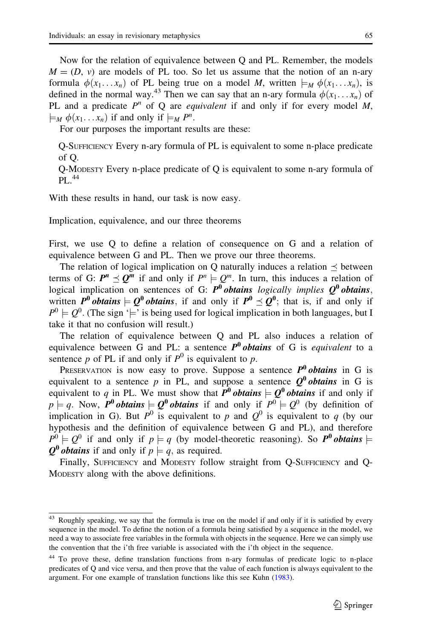Now for the relation of equivalence between Q and PL. Remember, the models  $M = (D, v)$  are models of PL too. So let us assume that the notion of an n-ary formula  $\phi(x_1... x_n)$  of PL being true on a model M, written  $\models_M \phi(x_1... x_n)$ , is defined in the normal way.<sup>43</sup> Then we can say that an n-ary formula  $\phi(x_1... x_n)$  of PL and a predicate  $P^n$  of Q are *equivalent* if and only if for every model M,  $\models_M \phi(x_1 \dots x_n)$  if and only if  $\models_M P^n$ .

For our purposes the important results are these:

Q-SUFFICIENCY Every n-ary formula of PL is equivalent to some n-place predicate of Q.

Q-MODESTY Every n-place predicate of Q is equivalent to some n-ary formula of  $PI.44$ 

With these results in hand, our task is now easy.

Implication, equivalence, and our three theorems

First, we use Q to define a relation of consequence on G and a relation of equivalence between G and PL. Then we prove our three theorems.

The relation of logical implication on Q naturally induces a relation  $\preceq$  between terms of G:  $P^n \preceq Q^m$  if and only if  $P^n \models Q^m$ . In turn, this induces a relation of logical implication on sentences of G:  $P^0$  obtains logically implies  $Q^0$  obtains, written P<sup>0</sup> obtains  $\vdash Q^0$  obtains, if and only if  $P^0 \preceq Q^0$ ; that is, if and only if  $P^0 \models Q^0$ . (The sign ' $\models$ ' is being used for logical implication in both languages, but I take it that no confusion will result.)

The relation of equivalence between Q and PL also induces a relation of equivalence between G and PL: a sentence  $P^0$  obtains of G is *equivalent* to a sentence  $p$  of PL if and only if  $P^0$  is equivalent to  $p$ .

PRESERVATION is now easy to prove. Suppose a sentence  $P^0$  obtains in G is equivalent to a sentence p in PL, and suppose a sentence  $\theta^0$  obtains in G is equivalent to q in PL. We must show that  $\vec{P}^0$  obtains  $\vdash Q^0$  obtains if and only if  $p \nightharpoonup q$ . Now,  $P^0$  obtains  $\vdash Q^0$  obtains if and only if  $P^0 \models Q^0$  (by definition of implication in G). But  $P^0$  is equivalent to p and  $Q^0$  is equivalent to q (by our hypothesis and the definition of equivalence between G and PL), and therefore  $P^0 \models Q^0$  if and only if  $p \models q$  (by model-theoretic reasoning). So  $P^0$  obtains  $\models$  $Q^0$  *obtains* if and only if  $p \models q$ , as required.

Finally, SUFFICIENCY and MODESTY follow straight from Q-SUFFICIENCY and Q-MODESTY along with the above definitions.

<sup>&</sup>lt;sup>43</sup> Roughly speaking, we say that the formula is true on the model if and only if it is satisfied by every sequence in the model. To define the notion of a formula being satisfied by a sequence in the model, we need a way to associate free variables in the formula with objects in the sequence. Here we can simply use the convention that the i'th free variable is associated with the i'th object in the sequence.

<sup>&</sup>lt;sup>44</sup> To prove these, define translation functions from n-ary formulas of predicate logic to n-place predicates of Q and vice versa, and then prove that the value of each function is always equivalent to the argument. For one example of translation functions like this see Kuhn ([1983\)](#page-32-0).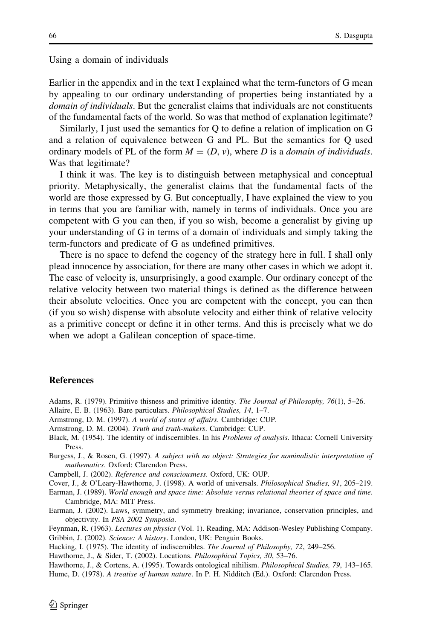<span id="page-31-0"></span>Using a domain of individuals

Earlier in the appendix and in the text I explained what the term-functors of G mean by appealing to our ordinary understanding of properties being instantiated by a

domain of individuals. But the generalist claims that individuals are not constituents of the fundamental facts of the world. So was that method of explanation legitimate?

Similarly, I just used the semantics for Q to define a relation of implication on G and a relation of equivalence between G and PL. But the semantics for Q used ordinary models of PL of the form  $M = (D, v)$ , where D is a *domain of individuals*. Was that legitimate?

I think it was. The key is to distinguish between metaphysical and conceptual priority. Metaphysically, the generalist claims that the fundamental facts of the world are those expressed by G. But conceptually, I have explained the view to you in terms that you are familiar with, namely in terms of individuals. Once you are competent with G you can then, if you so wish, become a generalist by giving up your understanding of G in terms of a domain of individuals and simply taking the term-functors and predicate of G as undefined primitives.

There is no space to defend the cogency of the strategy here in full. I shall only plead innocence by association, for there are many other cases in which we adopt it. The case of velocity is, unsurprisingly, a good example. Our ordinary concept of the relative velocity between two material things is defined as the difference between their absolute velocities. Once you are competent with the concept, you can then (if you so wish) dispense with absolute velocity and either think of relative velocity as a primitive concept or define it in other terms. And this is precisely what we do when we adopt a Galilean conception of space-time.

#### **References**

- Adams, R. (1979). Primitive thisness and primitive identity. The Journal of Philosophy, 76(1), 5–26.
- Allaire, E. B. (1963). Bare particulars. Philosophical Studies, 14, 1–7.
- Armstrong, D. M. (1997). A world of states of affairs. Cambridge: CUP.
- Armstrong, D. M. (2004). Truth and truth-makers. Cambridge: CUP.
- Black, M. (1954). The identity of indiscernibles. In his Problems of analysis. Ithaca: Cornell University Press.
- Burgess, J., & Rosen, G. (1997). A subject with no object: Strategies for nominalistic interpretation of mathematics. Oxford: Clarendon Press.
- Campbell, J. (2002). Reference and consciousness. Oxford, UK: OUP.
- Cover, J., & O'Leary-Hawthorne, J. (1998). A world of universals. Philosophical Studies, 91, 205–219.
- Earman, J. (1989). World enough and space time: Absolute versus relational theories of space and time. Cambridge, MA: MIT Press.
- Earman, J. (2002). Laws, symmetry, and symmetry breaking; invariance, conservation principles, and objectivity. In PSA 2002 Symposia.
- Feynman, R. (1963). Lectures on physics (Vol. 1). Reading, MA: Addison-Wesley Publishing Company. Gribbin, J. (2002). Science: A history. London, UK: Penguin Books.
- Hacking, I. (1975). The identity of indiscernibles. The Journal of Philosophy, 72, 249–256.
- Hawthorne, J., & Sider, T. (2002). Locations. Philosophical Topics, 30, 53–76.

Hawthorne, J., & Cortens, A. (1995). Towards ontological nihilism. Philosophical Studies, 79, 143–165. Hume, D. (1978). A treatise of human nature. In P. H. Nidditch (Ed.). Oxford: Clarendon Press.